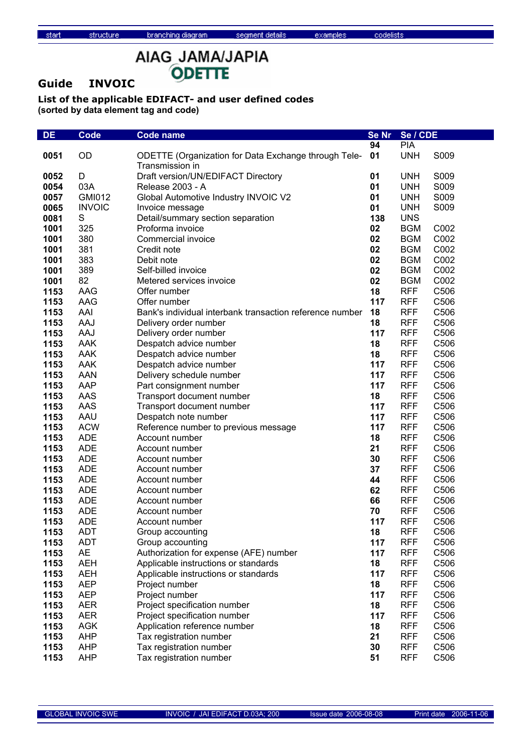**Guide INVOIC**

structure

| DE   | <b>Code</b>   | <b>Code name</b>                                                        | Se Nr | Se / CDE   |      |
|------|---------------|-------------------------------------------------------------------------|-------|------------|------|
|      |               |                                                                         | 94    | <b>PIA</b> |      |
| 0051 | OD            | ODETTE (Organization for Data Exchange through Tele-<br>Transmission in | 01    | <b>UNH</b> | S009 |
| 0052 | D             | Draft version/UN/EDIFACT Directory                                      | 01    | <b>UNH</b> | S009 |
| 0054 | 03A           | Release 2003 - A                                                        | 01    | <b>UNH</b> | S009 |
| 0057 | <b>GMI012</b> | Global Automotive Industry INVOIC V2                                    | 01    | <b>UNH</b> | S009 |
| 0065 | <b>INVOIC</b> | Invoice message                                                         | 01    | <b>UNH</b> | S009 |
| 0081 | S             | Detail/summary section separation                                       | 138   | <b>UNS</b> |      |
| 1001 | 325           | Proforma invoice                                                        | 02    | <b>BGM</b> | C002 |
| 1001 | 380           | Commercial invoice                                                      | 02    | <b>BGM</b> | C002 |
| 1001 | 381           | Credit note                                                             | 02    | <b>BGM</b> | C002 |
| 1001 | 383           | Debit note                                                              | 02    | <b>BGM</b> | C002 |
| 1001 | 389           | Self-billed invoice                                                     | 02    | <b>BGM</b> | C002 |
| 1001 | 82            | Metered services invoice                                                | 02    | <b>BGM</b> | C002 |
| 1153 | AAG           | Offer number                                                            | 18    | <b>RFF</b> | C506 |
| 1153 | AAG           | Offer number                                                            | 117   | <b>RFF</b> | C506 |
| 1153 | AAI           | Bank's individual interbank transaction reference number                | 18    | <b>RFF</b> | C506 |
| 1153 | AAJ           | Delivery order number                                                   | 18    | <b>RFF</b> | C506 |
| 1153 | AAJ           | Delivery order number                                                   | 117   | <b>RFF</b> | C506 |
| 1153 | <b>AAK</b>    | Despatch advice number                                                  | 18    | <b>RFF</b> | C506 |
| 1153 | <b>AAK</b>    | Despatch advice number                                                  | 18    | <b>RFF</b> | C506 |
| 1153 | AAK           | Despatch advice number                                                  | 117   | <b>RFF</b> | C506 |
| 1153 | <b>AAN</b>    | Delivery schedule number                                                | 117   | <b>RFF</b> | C506 |
| 1153 | <b>AAP</b>    | Part consignment number                                                 | 117   | <b>RFF</b> | C506 |
| 1153 | AAS           | Transport document number                                               | 18    | <b>RFF</b> | C506 |
| 1153 | AAS           | Transport document number                                               | 117   | <b>RFF</b> | C506 |
| 1153 | AAU           | Despatch note number                                                    | 117   | <b>RFF</b> | C506 |
| 1153 | <b>ACW</b>    | Reference number to previous message                                    | 117   | <b>RFF</b> | C506 |
| 1153 | <b>ADE</b>    | Account number                                                          | 18    | <b>RFF</b> | C506 |
| 1153 | <b>ADE</b>    | Account number                                                          | 21    | <b>RFF</b> | C506 |
| 1153 | <b>ADE</b>    | Account number                                                          | 30    | <b>RFF</b> | C506 |
| 1153 | <b>ADE</b>    | Account number                                                          | 37    | <b>RFF</b> | C506 |
| 1153 | <b>ADE</b>    | Account number                                                          | 44    | <b>RFF</b> | C506 |
| 1153 | <b>ADE</b>    | Account number                                                          | 62    | <b>RFF</b> | C506 |
| 1153 | <b>ADE</b>    | Account number                                                          | 66    | <b>RFF</b> | C506 |
| 1153 | <b>ADE</b>    | Account number                                                          | 70    | <b>RFF</b> | C506 |
| 1153 | <b>ADE</b>    | Account number                                                          | 117   | <b>RFF</b> | C506 |
| 1153 | <b>ADT</b>    | Group accounting                                                        | 18    | <b>RFF</b> | C506 |
| 1153 | <b>ADT</b>    | Group accounting                                                        | 117   | <b>RFF</b> | C506 |
| 1153 | <b>AE</b>     | Authorization for expense (AFE) number                                  | 117   | <b>RFF</b> | C506 |
| 1153 | <b>AEH</b>    | Applicable instructions or standards                                    | 18    | <b>RFF</b> | C506 |
| 1153 | <b>AEH</b>    | Applicable instructions or standards                                    | 117   | <b>RFF</b> | C506 |
| 1153 | <b>AEP</b>    | Project number                                                          | 18    | <b>RFF</b> | C506 |
| 1153 | <b>AEP</b>    | Project number                                                          | 117   | <b>RFF</b> | C506 |
| 1153 | <b>AER</b>    | Project specification number                                            | 18    | <b>RFF</b> | C506 |
| 1153 | <b>AER</b>    | Project specification number                                            | 117   | <b>RFF</b> | C506 |
| 1153 | <b>AGK</b>    | Application reference number                                            | 18    | <b>RFF</b> | C506 |
| 1153 | <b>AHP</b>    | Tax registration number                                                 | 21    | <b>RFF</b> | C506 |
| 1153 | <b>AHP</b>    | Tax registration number                                                 | 30    | <b>RFF</b> | C506 |
| 1153 | <b>AHP</b>    | Tax registration number                                                 | 51    | <b>RFF</b> | C506 |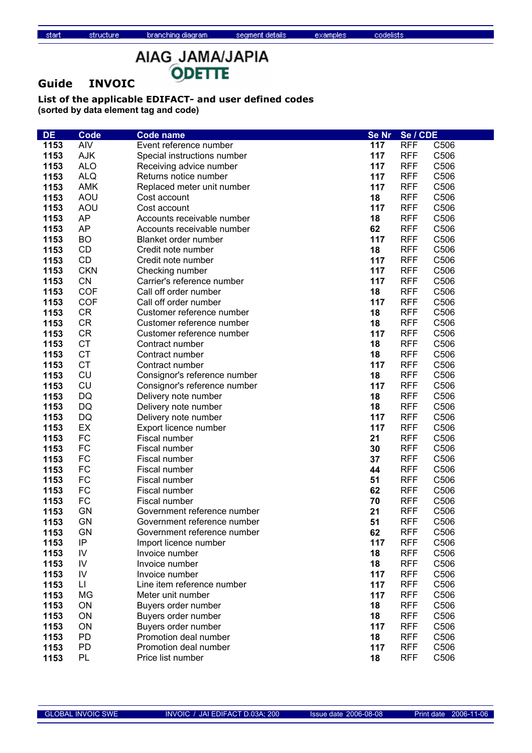# AIAG\_JAMA/JAPIA ODETTE

### **Guide INVOIC**

structure

| DE   | <b>Code</b>   | <b>Code name</b>             | Se Nr | Se / CDE   |      |
|------|---------------|------------------------------|-------|------------|------|
| 1153 | <b>AIV</b>    | Event reference number       | 117   | <b>RFF</b> | C506 |
| 1153 | AJK           | Special instructions number  | 117   | <b>RFF</b> | C506 |
| 1153 | <b>ALO</b>    | Receiving advice number      | 117   | <b>RFF</b> | C506 |
| 1153 | <b>ALQ</b>    | Returns notice number        | 117   | <b>RFF</b> | C506 |
| 1153 | <b>AMK</b>    | Replaced meter unit number   | 117   | <b>RFF</b> | C506 |
| 1153 | <b>AOU</b>    | Cost account                 | 18    | <b>RFF</b> | C506 |
| 1153 | <b>AOU</b>    | Cost account                 | 117   | <b>RFF</b> | C506 |
| 1153 | <b>AP</b>     | Accounts receivable number   | 18    | <b>RFF</b> | C506 |
| 1153 | <b>AP</b>     | Accounts receivable number   | 62    | <b>RFF</b> | C506 |
| 1153 | <b>BO</b>     | Blanket order number         | 117   | <b>RFF</b> | C506 |
| 1153 | CD            | Credit note number           | 18    | <b>RFF</b> | C506 |
| 1153 | CD            | Credit note number           | 117   | <b>RFF</b> | C506 |
| 1153 | <b>CKN</b>    | Checking number              | 117   | <b>RFF</b> | C506 |
| 1153 | <b>CN</b>     | Carrier's reference number   | 117   | <b>RFF</b> | C506 |
| 1153 | <b>COF</b>    | Call off order number        | 18    | <b>RFF</b> | C506 |
| 1153 | <b>COF</b>    | Call off order number        | 117   | <b>RFF</b> | C506 |
| 1153 | <b>CR</b>     | Customer reference number    | 18    | <b>RFF</b> | C506 |
| 1153 | <b>CR</b>     | Customer reference number    | 18    | <b>RFF</b> | C506 |
| 1153 | <b>CR</b>     | Customer reference number    | 117   | <b>RFF</b> | C506 |
| 1153 | <b>CT</b>     | Contract number              | 18    | <b>RFF</b> | C506 |
| 1153 | <b>CT</b>     | Contract number              | 18    | <b>RFF</b> | C506 |
| 1153 | <b>CT</b>     | Contract number              | 117   | <b>RFF</b> | C506 |
| 1153 | CU            | Consignor's reference number | 18    | <b>RFF</b> | C506 |
| 1153 | CU            | Consignor's reference number | 117   | <b>RFF</b> | C506 |
| 1153 | DQ            | Delivery note number         | 18    | <b>RFF</b> | C506 |
| 1153 | DQ            | Delivery note number         | 18    | <b>RFF</b> | C506 |
| 1153 | DQ            | Delivery note number         | 117   | <b>RFF</b> | C506 |
| 1153 | EX            | Export licence number        | 117   | <b>RFF</b> | C506 |
| 1153 | <b>FC</b>     | Fiscal number                | 21    | <b>RFF</b> | C506 |
| 1153 | <b>FC</b>     | Fiscal number                | 30    | <b>RFF</b> | C506 |
| 1153 | <b>FC</b>     | Fiscal number                | 37    | <b>RFF</b> | C506 |
| 1153 | <b>FC</b>     | Fiscal number                | 44    | <b>RFF</b> | C506 |
| 1153 | <b>FC</b>     | Fiscal number                | 51    | <b>RFF</b> | C506 |
| 1153 | <b>FC</b>     | Fiscal number                | 62    | <b>RFF</b> | C506 |
| 1153 | FC            | Fiscal number                | 70    | <b>RFF</b> | C506 |
| 1153 | <b>GN</b>     | Government reference number  | 21    | <b>RFF</b> | C506 |
| 1153 | <b>GN</b>     | Government reference number  | 51    | <b>RFF</b> | C506 |
| 1153 | <b>GN</b>     | Government reference number  | 62    | <b>RFF</b> | C506 |
| 1153 | IP            | Import licence number        | 117   | <b>RFF</b> | C506 |
| 1153 | $\mathsf{IV}$ | Invoice number               | 18    | <b>RFF</b> | C506 |
| 1153 | IV            | Invoice number               | 18    | <b>RFF</b> | C506 |
| 1153 | IV            | Invoice number               | 117   | <b>RFF</b> | C506 |
| 1153 | LI            | Line item reference number   | 117   | <b>RFF</b> | C506 |
| 1153 | <b>MG</b>     | Meter unit number            | 117   | <b>RFF</b> | C506 |
| 1153 | ON            | Buyers order number          | 18    | <b>RFF</b> | C506 |
| 1153 | ON            | Buyers order number          | 18    | <b>RFF</b> | C506 |
| 1153 | ON            | Buyers order number          | 117   | <b>RFF</b> | C506 |
| 1153 | <b>PD</b>     | Promotion deal number        | 18    | <b>RFF</b> | C506 |
| 1153 | PD            | Promotion deal number        | 117   | <b>RFF</b> | C506 |
| 1153 | PL            | Price list number            | 18    | <b>RFF</b> | C506 |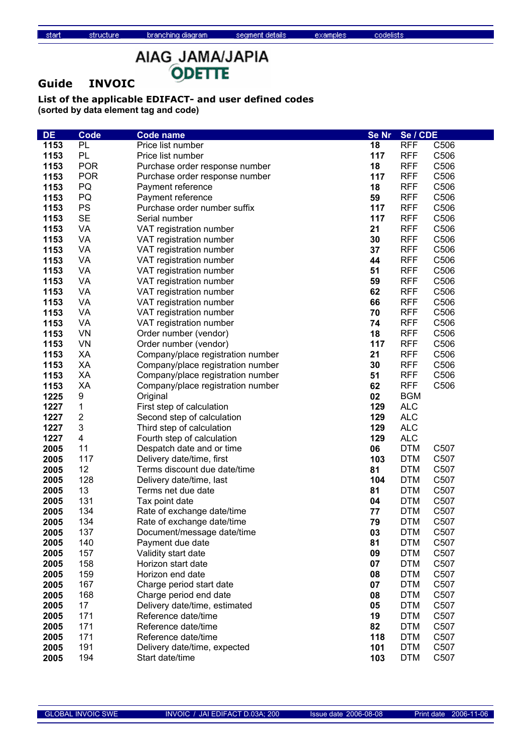# AIAG\_JAMA/JAPIA ODETTE

### **Guide INVOIC**

structure

| <b>DE</b> | Code                    | <b>Code name</b>                  | <b>Se Nr</b> | Se / CDE   |                   |
|-----------|-------------------------|-----------------------------------|--------------|------------|-------------------|
| 1153      | PL                      | Price list number                 | 18           | <b>RFF</b> | C506              |
| 1153      | PL                      | Price list number                 | 117          | <b>RFF</b> | C <sub>506</sub>  |
| 1153      | <b>POR</b>              | Purchase order response number    | 18           | <b>RFF</b> | C <sub>506</sub>  |
| 1153      | <b>POR</b>              | Purchase order response number    | 117          | <b>RFF</b> | C <sub>506</sub>  |
| 1153      | PQ                      | Payment reference                 | 18           | <b>RFF</b> | C506              |
| 1153      | PQ                      | Payment reference                 | 59           | <b>RFF</b> | C506              |
| 1153      | PS                      | Purchase order number suffix      | 117          | <b>RFF</b> | C506              |
| 1153      | <b>SE</b>               | Serial number                     | 117          | <b>RFF</b> | C506              |
| 1153      | VA                      | VAT registration number           | 21           | <b>RFF</b> | C506              |
| 1153      | VA                      | VAT registration number           | 30           | <b>RFF</b> | C506              |
| 1153      | VA                      | VAT registration number           | 37           | <b>RFF</b> | C506              |
| 1153      | VA                      |                                   | 44           | <b>RFF</b> | C506              |
| 1153      | VA                      | VAT registration number           | 51           | <b>RFF</b> | C506              |
|           | VA                      | VAT registration number           |              | <b>RFF</b> | C506              |
| 1153      |                         | VAT registration number           | 59           |            |                   |
| 1153      | VA                      | VAT registration number           | 62           | <b>RFF</b> | C506              |
| 1153      | VA                      | VAT registration number           | 66           | <b>RFF</b> | C506              |
| 1153      | VA                      | VAT registration number           | 70           | <b>RFF</b> | C506              |
| 1153      | VA                      | VAT registration number           | 74           | <b>RFF</b> | C506              |
| 1153      | <b>VN</b>               | Order number (vendor)             | 18           | <b>RFF</b> | C506              |
| 1153      | <b>VN</b>               | Order number (vendor)             | 117          | <b>RFF</b> | C506              |
| 1153      | XA                      | Company/place registration number | 21           | <b>RFF</b> | C506              |
| 1153      | XA                      | Company/place registration number | 30           | <b>RFF</b> | C506              |
| 1153      | XA                      | Company/place registration number | 51           | <b>RFF</b> | C506              |
| 1153      | XA                      | Company/place registration number | 62           | <b>RFF</b> | C506              |
| 1225      | 9                       | Original                          | 02           | <b>BGM</b> |                   |
| 1227      | 1                       | First step of calculation         | 129          | <b>ALC</b> |                   |
| 1227      | $\mathbf 2$             | Second step of calculation        | 129          | <b>ALC</b> |                   |
| 1227      | 3                       | Third step of calculation         | 129          | <b>ALC</b> |                   |
| 1227      | $\overline{\mathbf{4}}$ | Fourth step of calculation        | 129          | <b>ALC</b> |                   |
| 2005      | 11                      | Despatch date and or time         | 06           | <b>DTM</b> | C <sub>50</sub> 7 |
| 2005      | 117                     | Delivery date/time, first         | 103          | <b>DTM</b> | C507              |
| 2005      | 12                      | Terms discount due date/time      | 81           | <b>DTM</b> | C507              |
| 2005      | 128                     | Delivery date/time, last          | 104          | <b>DTM</b> | C507              |
| 2005      | 13                      | Terms net due date                | 81           | <b>DTM</b> | C <sub>507</sub>  |
| 2005      | 131                     | Tax point date                    | 04           | <b>DTM</b> | C <sub>507</sub>  |
| 2005      | 134                     | Rate of exchange date/time        | 77           | <b>DTM</b> | C <sub>507</sub>  |
| 2005      | 134                     | Rate of exchange date/time        | 79           | <b>DTM</b> | C507              |
| 2005      | 137                     | Document/message date/time        | 03           | <b>DTM</b> | C507              |
| 2005      | 140                     | Payment due date                  | 81           | <b>DTM</b> | C507              |
| 2005      | 157                     | Validity start date               | 09           | <b>DTM</b> | C507              |
| 2005      | 158                     | Horizon start date                | 07           | <b>DTM</b> | C507              |
| 2005      | 159                     | Horizon end date                  | 08           | <b>DTM</b> | C507              |
| 2005      | 167                     | Charge period start date          | 07           | <b>DTM</b> | C507              |
| 2005      | 168                     | Charge period end date            | 08           | <b>DTM</b> | C507              |
| 2005      | 17                      | Delivery date/time, estimated     | 05           | <b>DTM</b> | C507              |
| 2005      | 171                     | Reference date/time               | 19           | <b>DTM</b> | C507              |
| 2005      | 171                     | Reference date/time               | 82           | <b>DTM</b> | C507              |
| 2005      | 171                     | Reference date/time               | 118          | <b>DTM</b> | C507              |
| 2005      | 191                     | Delivery date/time, expected      | 101          | <b>DTM</b> | C507              |
| 2005      | 194                     | Start date/time                   | 103          | <b>DTM</b> | C507              |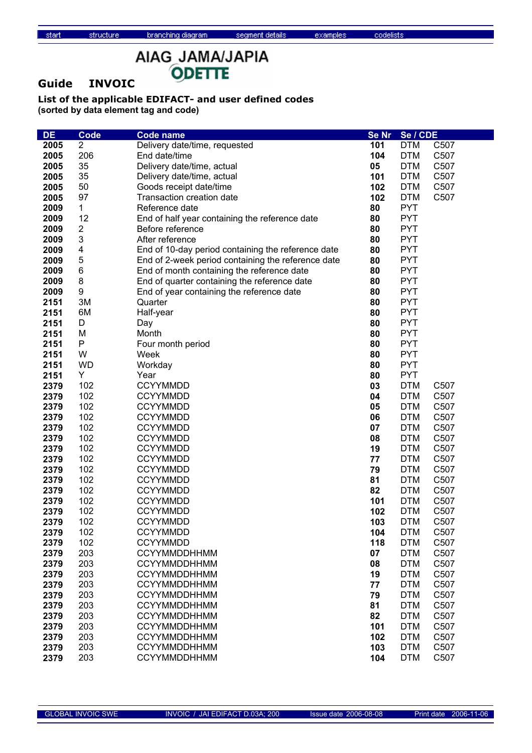# AIAG\_JAMA/JAPIA ODETTE

### **Guide INVOIC**

structure

| <b>DE</b>    | <b>Code</b>               | <b>Code name</b>                                   | Se Nr    | Se / CDE                 |                   |
|--------------|---------------------------|----------------------------------------------------|----------|--------------------------|-------------------|
| 2005         | $\overline{2}$            | Delivery date/time, requested                      | 101      | <b>DTM</b>               | C507              |
| 2005         | 206                       | End date/time                                      | 104      | <b>DTM</b>               | C507              |
| 2005         | 35                        | Delivery date/time, actual                         | 05       | <b>DTM</b>               | C507              |
| 2005         | 35                        | Delivery date/time, actual                         | 101      | <b>DTM</b>               | C507              |
| 2005         | 50                        | Goods receipt date/time                            | 102      | <b>DTM</b>               | C507              |
| 2005         | 97                        | <b>Transaction creation date</b>                   | 102      | <b>DTM</b>               | C507              |
| 2009         | $\mathbf 1$               | Reference date                                     | 80       | <b>PYT</b>               |                   |
| 2009         | 12                        | End of half year containing the reference date     | 80       | <b>PYT</b>               |                   |
| 2009         | 2                         | Before reference                                   | 80       | <b>PYT</b>               |                   |
| 2009         | $\ensuremath{\mathsf{3}}$ | After reference                                    | 80       | <b>PYT</b>               |                   |
| 2009         | 4                         | End of 10-day period containing the reference date | 80       | <b>PYT</b>               |                   |
| 2009         | 5                         | End of 2-week period containing the reference date | 80       | <b>PYT</b>               |                   |
| 2009         | $\,6$                     | End of month containing the reference date         | 80       | <b>PYT</b>               |                   |
| 2009         | $\bf 8$                   | End of quarter containing the reference date       | 80       | <b>PYT</b>               |                   |
| 2009         | $\boldsymbol{9}$          | End of year containing the reference date          | 80       | <b>PYT</b>               |                   |
| 2151         | 3M                        | Quarter                                            | 80       | <b>PYT</b>               |                   |
| 2151         | 6M                        | Half-year                                          | 80       | <b>PYT</b>               |                   |
| 2151         | D                         | Day                                                | 80       | <b>PYT</b>               |                   |
| 2151         | M                         | Month                                              | 80       | <b>PYT</b>               |                   |
| 2151         | P                         | Four month period                                  | 80       | <b>PYT</b>               |                   |
| 2151         | W                         | Week                                               | 80       | <b>PYT</b>               |                   |
| 2151         | <b>WD</b>                 | Workday                                            | 80       | <b>PYT</b>               |                   |
| 2151         | Y                         |                                                    | 80       | <b>PYT</b>               |                   |
| 2379         | 102                       | Year<br><b>CCYYMMDD</b>                            | 03       | <b>DTM</b>               | C507              |
|              | 102                       | <b>CCYYMMDD</b>                                    |          | <b>DTM</b>               |                   |
| 2379<br>2379 | 102                       |                                                    | 04<br>05 |                          | C507              |
|              |                           | <b>CCYYMMDD</b>                                    |          | <b>DTM</b><br><b>DTM</b> | C507              |
| 2379         | 102<br>102                | <b>CCYYMMDD</b>                                    | 06       | <b>DTM</b>               | C507              |
| 2379         | 102                       | <b>CCYYMMDD</b><br><b>CCYYMMDD</b>                 | 07<br>08 | <b>DTM</b>               | C507<br>C507      |
| 2379         | 102                       | <b>CCYYMMDD</b>                                    | 19       | <b>DTM</b>               | C507              |
| 2379<br>2379 | 102                       | <b>CCYYMMDD</b>                                    | 77       | <b>DTM</b>               | C507              |
| 2379         | 102                       | <b>CCYYMMDD</b>                                    | 79       | <b>DTM</b>               | C507              |
| 2379         | 102                       | <b>CCYYMMDD</b>                                    | 81       | <b>DTM</b>               | C507              |
| 2379         | 102                       | <b>CCYYMMDD</b>                                    | 82       | <b>DTM</b>               | C507              |
| 2379         | 102                       | <b>CCYYMMDD</b>                                    | 101      | <b>DTM</b>               | C <sub>50</sub> 7 |
| 2379         | 102                       | <b>CCYYMMDD</b>                                    | 102      | <b>DTM</b>               | C507              |
| 2379         | 102                       | <b>CCYYMMDD</b>                                    | 103      | <b>DTM</b>               | C507              |
| 2379         | 102                       | <b>CCYYMMDD</b>                                    | 104      | <b>DTM</b>               | C507              |
| 2379         | 102                       | <b>CCYYMMDD</b>                                    | 118      | <b>DTM</b>               | C507              |
| 2379         | 203                       | <b>CCYYMMDDHHMM</b>                                | 07       | <b>DTM</b>               | C507              |
| 2379         | 203                       | <b>CCYYMMDDHHMM</b>                                | 08       | <b>DTM</b>               | C507              |
| 2379         | 203                       | <b>CCYYMMDDHHMM</b>                                | 19       | <b>DTM</b>               | C507              |
| 2379         | 203                       | <b>CCYYMMDDHHMM</b>                                | 77       | <b>DTM</b>               | C507              |
| 2379         | 203                       | <b>CCYYMMDDHHMM</b>                                | 79       | <b>DTM</b>               | C507              |
| 2379         | 203                       | <b>CCYYMMDDHHMM</b>                                | 81       | <b>DTM</b>               | C507              |
| 2379         | 203                       | <b>CCYYMMDDHHMM</b>                                | 82       | <b>DTM</b>               | C507              |
| 2379         | 203                       | <b>CCYYMMDDHHMM</b>                                | 101      | <b>DTM</b>               | C507              |
| 2379         | 203                       | <b>CCYYMMDDHHMM</b>                                | 102      | <b>DTM</b>               | C507              |
| 2379         | 203                       | <b>CCYYMMDDHHMM</b>                                | 103      | <b>DTM</b>               | C507              |
| 2379         | 203                       | <b>CCYYMMDDHHMM</b>                                | 104      |                          | C507              |
|              |                           |                                                    |          | <b>DTM</b>               |                   |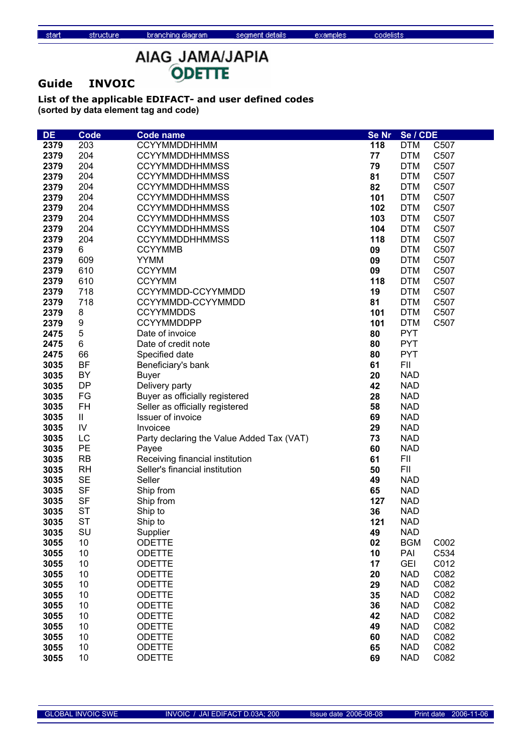# AIAG\_JAMA/JAPIA ODETTE

### **Guide INVOIC**

structure

| <b>DE</b> | <b>Code</b> | <b>Code name</b>                          | <b>Se Nr</b> | Se / CDE   |      |
|-----------|-------------|-------------------------------------------|--------------|------------|------|
| 2379      | 203         | CCYYMMDDHHMM                              | 118          | <b>DTM</b> | C507 |
| 2379      | 204         | <b>CCYYMMDDHHMMSS</b>                     | 77           | <b>DTM</b> | C507 |
| 2379      | 204         | <b>CCYYMMDDHHMMSS</b>                     | 79           | <b>DTM</b> | C507 |
| 2379      | 204         | <b>CCYYMMDDHHMMSS</b>                     | 81           | <b>DTM</b> | C507 |
| 2379      | 204         | <b>CCYYMMDDHHMMSS</b>                     | 82           | <b>DTM</b> | C507 |
| 2379      | 204         | <b>CCYYMMDDHHMMSS</b>                     | 101          | <b>DTM</b> | C507 |
| 2379      | 204         | <b>CCYYMMDDHHMMSS</b>                     | 102          | <b>DTM</b> | C507 |
| 2379      | 204         | <b>CCYYMMDDHHMMSS</b>                     | 103          | <b>DTM</b> | C507 |
| 2379      | 204         | <b>CCYYMMDDHHMMSS</b>                     | 104          | <b>DTM</b> | C507 |
| 2379      | 204         | <b>CCYYMMDDHHMMSS</b>                     | 118          | <b>DTM</b> | C507 |
| 2379      | 6           | <b>CCYYMMB</b>                            | 09           | <b>DTM</b> | C507 |
| 2379      | 609         | <b>YYMM</b>                               | 09           | <b>DTM</b> | C507 |
| 2379      | 610         | <b>CCYYMM</b>                             | 09           | <b>DTM</b> | C507 |
|           | 610         | <b>CCYYMM</b>                             | 118          | <b>DTM</b> | C507 |
| 2379      | 718         | CCYYMMDD-CCYYMMDD                         |              | <b>DTM</b> | C507 |
| 2379      |             |                                           | 19           |            | C507 |
| 2379      | 718         | CCYYMMDD-CCYYMMDD                         | 81           | <b>DTM</b> |      |
| 2379      | 8           | <b>CCYYMMDDS</b>                          | 101          | <b>DTM</b> | C507 |
| 2379      | 9           | <b>CCYYMMDDPP</b>                         | 101          | <b>DTM</b> | C507 |
| 2475      | 5           | Date of invoice                           | 80           | <b>PYT</b> |      |
| 2475      | 6           | Date of credit note                       | 80           | <b>PYT</b> |      |
| 2475      | 66          | Specified date                            | 80           | <b>PYT</b> |      |
| 3035      | <b>BF</b>   | Beneficiary's bank                        | 61           | FII        |      |
| 3035      | BY          | <b>Buyer</b>                              | 20           | <b>NAD</b> |      |
| 3035      | <b>DP</b>   | Delivery party                            | 42           | <b>NAD</b> |      |
| 3035      | FG          | Buyer as officially registered            | 28           | <b>NAD</b> |      |
| 3035      | FH          | Seller as officially registered           | 58           | <b>NAD</b> |      |
| 3035      | Ш.          | Issuer of invoice                         | 69           | <b>NAD</b> |      |
| 3035      | ${\sf IV}$  | Invoicee                                  | 29           | <b>NAD</b> |      |
| 3035      | LC          | Party declaring the Value Added Tax (VAT) | 73           | <b>NAD</b> |      |
| 3035      | PE          | Payee                                     | 60           | <b>NAD</b> |      |
| 3035      | <b>RB</b>   | Receiving financial institution           | 61           | FII        |      |
| 3035      | <b>RH</b>   | Seller's financial institution            | 50           | FII        |      |
| 3035      | <b>SE</b>   | Seller                                    | 49           | <b>NAD</b> |      |
| 3035      | <b>SF</b>   | Ship from                                 | 65           | <b>NAD</b> |      |
| 3035      | <b>SF</b>   | Ship from                                 | 127          | <b>NAD</b> |      |
| 3035      | <b>ST</b>   | Ship to                                   | 36           | <b>NAD</b> |      |
| 3035      | <b>ST</b>   | Ship to                                   | 121          | <b>NAD</b> |      |
| 3035      | SU          | Supplier                                  | 49           | <b>NAD</b> |      |
| 3055      | 10          | <b>ODETTE</b>                             | 02           | <b>BGM</b> | C002 |
| 3055      | 10          | <b>ODETTE</b>                             | 10           | PAI        | C534 |
| 3055      | 10          | <b>ODETTE</b>                             | 17           | <b>GEI</b> | C012 |
| 3055      | 10          | <b>ODETTE</b>                             | 20           | <b>NAD</b> | C082 |
| 3055      | 10          | <b>ODETTE</b>                             | 29           | <b>NAD</b> | C082 |
| 3055      | 10          | <b>ODETTE</b>                             | 35           | <b>NAD</b> | C082 |
| 3055      | 10          | <b>ODETTE</b>                             | 36           | <b>NAD</b> | C082 |
| 3055      | 10          | <b>ODETTE</b>                             | 42           | <b>NAD</b> | C082 |
| 3055      | 10          | <b>ODETTE</b>                             | 49           | <b>NAD</b> | C082 |
| 3055      | 10          | <b>ODETTE</b>                             | 60           | <b>NAD</b> | C082 |
| 3055      | 10          | <b>ODETTE</b>                             | 65           | <b>NAD</b> | C082 |
| 3055      | 10          | <b>ODETTE</b>                             | 69           | <b>NAD</b> | C082 |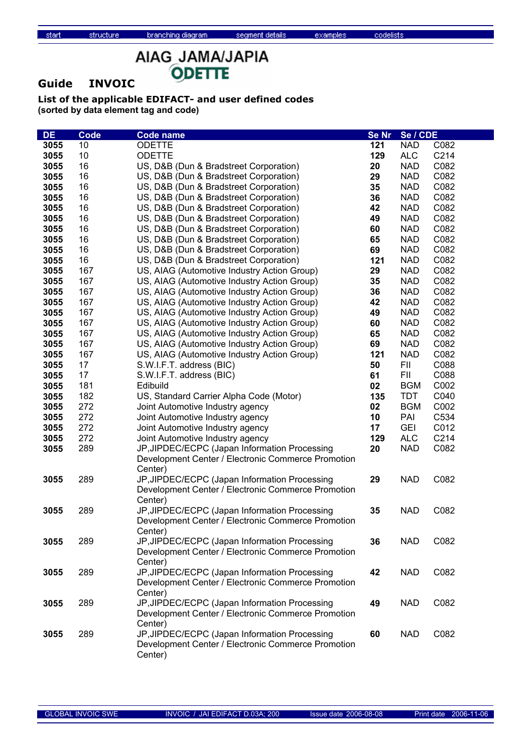### **Guide INVOIC**

structure

| <b>DE</b> | <b>Code</b> | <b>Code name</b>                                                                                    | Se Nr | Se / CDE   |              |
|-----------|-------------|-----------------------------------------------------------------------------------------------------|-------|------------|--------------|
| 3055      | 10          | <b>ODETTE</b>                                                                                       | 121   | <b>NAD</b> | C082         |
| 3055      | 10          | <b>ODETTE</b>                                                                                       | 129   | <b>ALC</b> | C214         |
| 3055      | 16          | US, D&B (Dun & Bradstreet Corporation)                                                              | 20    | <b>NAD</b> | C082         |
| 3055      | 16          | US, D&B (Dun & Bradstreet Corporation)                                                              | 29    | <b>NAD</b> | C082         |
| 3055      | 16          | US, D&B (Dun & Bradstreet Corporation)                                                              | 35    | <b>NAD</b> | C082         |
| 3055      | 16          | US, D&B (Dun & Bradstreet Corporation)                                                              | 36    | <b>NAD</b> | C082         |
| 3055      | 16          | US, D&B (Dun & Bradstreet Corporation)                                                              | 42    | <b>NAD</b> | C082         |
| 3055      | 16          | US, D&B (Dun & Bradstreet Corporation)                                                              | 49    | <b>NAD</b> | C082         |
| 3055      | 16          | US, D&B (Dun & Bradstreet Corporation)                                                              | 60    | <b>NAD</b> | C082         |
| 3055      | 16          | US, D&B (Dun & Bradstreet Corporation)                                                              | 65    | <b>NAD</b> | C082         |
| 3055      | 16          | US, D&B (Dun & Bradstreet Corporation)                                                              | 69    | <b>NAD</b> | C082         |
| 3055      | 16          | US, D&B (Dun & Bradstreet Corporation)                                                              | 121   | <b>NAD</b> | C082         |
| 3055      | 167         | US, AIAG (Automotive Industry Action Group)                                                         | 29    | <b>NAD</b> | C082         |
| 3055      | 167         | US, AIAG (Automotive Industry Action Group)                                                         | 35    | <b>NAD</b> | C082         |
| 3055      | 167         | US, AIAG (Automotive Industry Action Group)                                                         | 36    | <b>NAD</b> | C082         |
| 3055      | 167         | US, AIAG (Automotive Industry Action Group)                                                         | 42    | <b>NAD</b> | C082         |
| 3055      | 167         | US, AIAG (Automotive Industry Action Group)                                                         | 49    | <b>NAD</b> | C082         |
| 3055      | 167         | US, AIAG (Automotive Industry Action Group)                                                         | 60    | <b>NAD</b> | C082         |
| 3055      | 167         | US, AIAG (Automotive Industry Action Group)                                                         | 65    | <b>NAD</b> | C082         |
| 3055      | 167         | US, AIAG (Automotive Industry Action Group)                                                         | 69    | <b>NAD</b> | C082         |
| 3055      | 167         | US, AIAG (Automotive Industry Action Group)                                                         | 121   | <b>NAD</b> | C082         |
| 3055      | 17          | S.W.I.F.T. address (BIC)                                                                            | 50    | FII        | C088         |
| 3055      | 17          | S.W.I.F.T. address (BIC)                                                                            | 61    | FII        | C088         |
| 3055      | 181         | Edibuild                                                                                            | 02    | <b>BGM</b> | C002         |
| 3055      | 182         | US, Standard Carrier Alpha Code (Motor)                                                             | 135   | <b>TDT</b> | C040         |
| 3055      | 272         | Joint Automotive Industry agency                                                                    | 02    | <b>BGM</b> | C002         |
| 3055      | 272         | Joint Automotive Industry agency                                                                    | 10    | PAI        | C534         |
| 3055      | 272         | Joint Automotive Industry agency                                                                    | 17    | <b>GEI</b> | C012         |
| 3055      | 272         | Joint Automotive Industry agency                                                                    | 129   | <b>ALC</b> | C214<br>C082 |
| 3055      | 289         | JP, JIPDEC/ECPC (Japan Information Processing<br>Development Center / Electronic Commerce Promotion | 20    | <b>NAD</b> |              |
|           |             | Center)                                                                                             |       |            |              |
| 3055      | 289         | JP, JIPDEC/ECPC (Japan Information Processing                                                       | 29    | <b>NAD</b> | C082         |
|           |             | Development Center / Electronic Commerce Promotion                                                  |       |            |              |
|           |             | Center)                                                                                             |       |            |              |
| 3055      | 289         | JP, JIPDEC/ECPC (Japan Information Processing                                                       | 35    | <b>NAD</b> | C082         |
|           |             | Development Center / Electronic Commerce Promotion                                                  |       |            |              |
|           |             | Center)                                                                                             |       |            |              |
| 3055      | 289         | JP, JIPDEC/ECPC (Japan Information Processing                                                       | 36    | <b>NAD</b> | C082         |
|           |             | Development Center / Electronic Commerce Promotion                                                  |       |            |              |
|           |             | Center)                                                                                             |       |            |              |
| 3055      | 289         | JP, JIPDEC/ECPC (Japan Information Processing                                                       | 42    | <b>NAD</b> | C082         |
|           |             | Development Center / Electronic Commerce Promotion                                                  |       |            |              |
|           |             | Center)                                                                                             |       |            |              |
| 3055      | 289         | JP, JIPDEC/ECPC (Japan Information Processing                                                       | 49    | <b>NAD</b> | C082         |
|           |             | Development Center / Electronic Commerce Promotion                                                  |       |            |              |
|           |             | Center)                                                                                             |       |            |              |
| 3055      | 289         | JP, JIPDEC/ECPC (Japan Information Processing                                                       | 60    | <b>NAD</b> | C082         |
|           |             | Development Center / Electronic Commerce Promotion                                                  |       |            |              |
|           |             | Center)                                                                                             |       |            |              |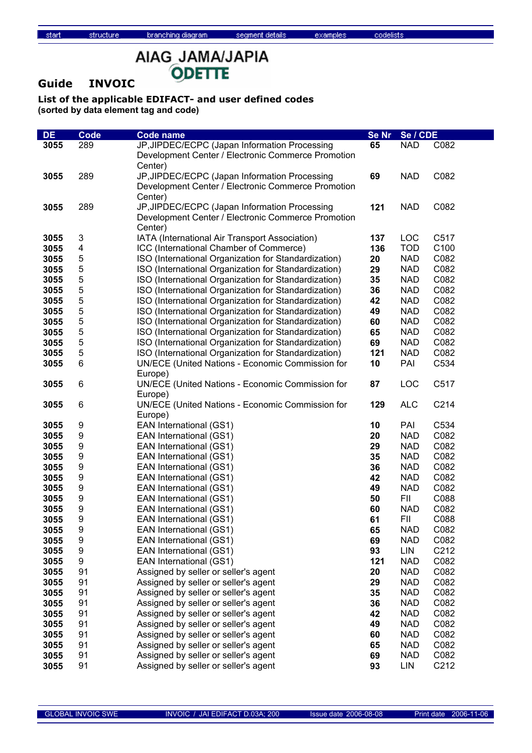examples

# AIAG\_JAMA/JAPIA ODETTE

### **Guide INVOIC**

structure

| <b>DE</b> | <b>Code</b>      | <b>Code name</b>                                     | Se Nr | Se / CDE   |      |
|-----------|------------------|------------------------------------------------------|-------|------------|------|
| 3055      | 289              | JP, JIPDEC/ECPC (Japan Information Processing        | 65    | <b>NAD</b> | C082 |
|           |                  | Development Center / Electronic Commerce Promotion   |       |            |      |
|           |                  | Center)                                              |       |            |      |
| 3055      | 289              | JP, JIPDEC/ECPC (Japan Information Processing        | 69    | <b>NAD</b> | C082 |
|           |                  | Development Center / Electronic Commerce Promotion   |       |            |      |
|           |                  | Center)                                              |       |            |      |
| 3055      | 289              | JP, JIPDEC/ECPC (Japan Information Processing        | 121   | <b>NAD</b> | C082 |
|           |                  | Development Center / Electronic Commerce Promotion   |       |            |      |
|           |                  | Center)                                              |       |            |      |
| 3055      | 3                | IATA (International Air Transport Association)       | 137   | LOC        | C517 |
| 3055      | 4                | ICC (International Chamber of Commerce)              | 136   | <b>TOD</b> | C100 |
| 3055      | 5                | ISO (International Organization for Standardization) | 20    | <b>NAD</b> | C082 |
| 3055      | 5                | ISO (International Organization for Standardization) | 29    | <b>NAD</b> | C082 |
| 3055      | 5                | ISO (International Organization for Standardization) | 35    | <b>NAD</b> | C082 |
| 3055      | 5                | ISO (International Organization for Standardization) | 36    | <b>NAD</b> | C082 |
| 3055      | 5                | ISO (International Organization for Standardization) | 42    | <b>NAD</b> | C082 |
| 3055      | 5                | ISO (International Organization for Standardization) | 49    | <b>NAD</b> | C082 |
| 3055      | 5                | ISO (International Organization for Standardization) | 60    | <b>NAD</b> | C082 |
| 3055      | 5                | ISO (International Organization for Standardization) | 65    | <b>NAD</b> | C082 |
| 3055      | 5                | ISO (International Organization for Standardization) | 69    | <b>NAD</b> | C082 |
| 3055      | 5                | ISO (International Organization for Standardization) | 121   | <b>NAD</b> | C082 |
| 3055      | 6                | UN/ECE (United Nations - Economic Commission for     | 10    | PAI        | C534 |
|           |                  | Europe)                                              |       |            |      |
| 3055      | 6                | UN/ECE (United Nations - Economic Commission for     | 87    | LOC        | C517 |
|           |                  | Europe)                                              |       |            |      |
| 3055      | 6                | UN/ECE (United Nations - Economic Commission for     | 129   | <b>ALC</b> | C214 |
|           |                  | Europe)                                              |       |            |      |
| 3055      | 9                | EAN International (GS1)                              | 10    | PAI        | C534 |
| 3055      | 9                | EAN International (GS1)                              | 20    | <b>NAD</b> | C082 |
| 3055      | 9                | EAN International (GS1)                              | 29    | <b>NAD</b> | C082 |
| 3055      | 9                | EAN International (GS1)                              | 35    | <b>NAD</b> | C082 |
| 3055      | 9                | EAN International (GS1)                              | 36    | <b>NAD</b> | C082 |
| 3055      | 9                | EAN International (GS1)                              | 42    | <b>NAD</b> | C082 |
| 3055      | 9                | EAN International (GS1)                              | 49    | <b>NAD</b> | C082 |
| 3055      | 9                | EAN International (GS1)                              | 50    | <b>FII</b> | C088 |
| 3055      | 9                | EAN International (GS1)                              | 60    | <b>NAD</b> | C082 |
| 3055      | 9                | EAN International (GS1)                              | 61    | FII        | C088 |
| 3055      | 9                | EAN International (GS1)                              | 65    | <b>NAD</b> | C082 |
| 3055      | 9                | EAN International (GS1)                              | 69    | <b>NAD</b> | C082 |
| 3055      | $\boldsymbol{9}$ | EAN International (GS1)                              | 93    | LIN        | C212 |
| 3055      | $\boldsymbol{9}$ | EAN International (GS1)                              | 121   | <b>NAD</b> | C082 |
| 3055      | 91               | Assigned by seller or seller's agent                 | 20    | <b>NAD</b> | C082 |
| 3055      | 91               | Assigned by seller or seller's agent                 | 29    | <b>NAD</b> | C082 |
| 3055      | 91               | Assigned by seller or seller's agent                 | 35    | <b>NAD</b> | C082 |
| 3055      | 91               | Assigned by seller or seller's agent                 | 36    | <b>NAD</b> | C082 |
| 3055      | 91               | Assigned by seller or seller's agent                 | 42    | <b>NAD</b> | C082 |
| 3055      | 91               | Assigned by seller or seller's agent                 | 49    | <b>NAD</b> | C082 |
| 3055      | 91               | Assigned by seller or seller's agent                 | 60    | <b>NAD</b> | C082 |
| 3055      | 91               | Assigned by seller or seller's agent                 | 65    | <b>NAD</b> | C082 |
| 3055      | 91               | Assigned by seller or seller's agent                 | 69    | <b>NAD</b> | C082 |
| 3055      | 91               | Assigned by seller or seller's agent                 | 93    | <b>LIN</b> | C212 |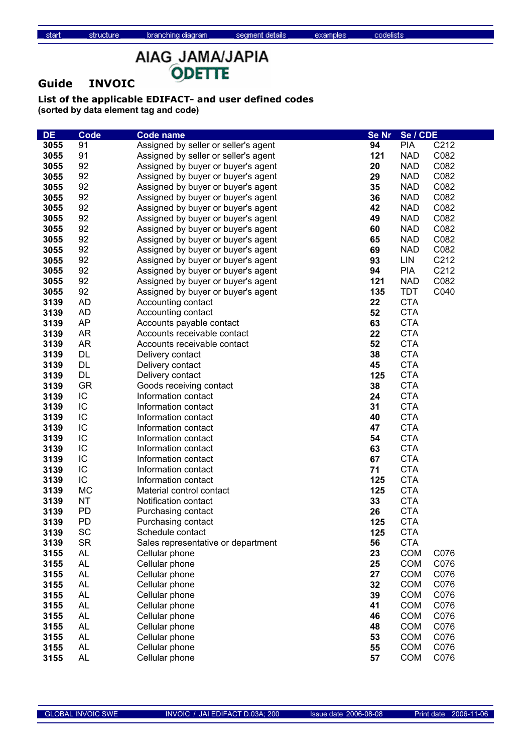# AIAG\_JAMA/JAPIA ODETTE

### **Guide INVOIC**

structure

| <b>DE</b> | <b>Code</b> | <b>Code name</b>                     | <b>Se Nr</b> | Se / CDE   |      |
|-----------|-------------|--------------------------------------|--------------|------------|------|
| 3055      | 91          | Assigned by seller or seller's agent | 94           | <b>PIA</b> | C212 |
| 3055      | 91          | Assigned by seller or seller's agent | 121          | <b>NAD</b> | C082 |
| 3055      | 92          | Assigned by buyer or buyer's agent   | 20           | <b>NAD</b> | C082 |
| 3055      | 92          | Assigned by buyer or buyer's agent   | 29           | <b>NAD</b> | C082 |
| 3055      | 92          | Assigned by buyer or buyer's agent   | 35           | <b>NAD</b> | C082 |
| 3055      | 92          | Assigned by buyer or buyer's agent   | 36           | <b>NAD</b> | C082 |
| 3055      | 92          | Assigned by buyer or buyer's agent   | 42           | <b>NAD</b> | C082 |
| 3055      | 92          | Assigned by buyer or buyer's agent   | 49           | <b>NAD</b> | C082 |
| 3055      | 92          | Assigned by buyer or buyer's agent   | 60           | <b>NAD</b> | C082 |
| 3055      | 92          | Assigned by buyer or buyer's agent   | 65           | <b>NAD</b> | C082 |
| 3055      | 92          | Assigned by buyer or buyer's agent   | 69           | <b>NAD</b> | C082 |
| 3055      | 92          | Assigned by buyer or buyer's agent   | 93           | LIN        | C212 |
| 3055      | 92          | Assigned by buyer or buyer's agent   | 94           | <b>PIA</b> | C212 |
| 3055      | 92          | Assigned by buyer or buyer's agent   | 121          | <b>NAD</b> | C082 |
| 3055      | 92          | Assigned by buyer or buyer's agent   | 135          | <b>TDT</b> | C040 |
| 3139      | <b>AD</b>   | Accounting contact                   | 22           | <b>CTA</b> |      |
| 3139      | <b>AD</b>   | Accounting contact                   | 52           | <b>CTA</b> |      |
| 3139      | AP          | Accounts payable contact             | 63           | <b>CTA</b> |      |
| 3139      | <b>AR</b>   | Accounts receivable contact          | 22           | <b>CTA</b> |      |
| 3139      | <b>AR</b>   | Accounts receivable contact          | 52           | <b>CTA</b> |      |
| 3139      | <b>DL</b>   | Delivery contact                     | 38           | <b>CTA</b> |      |
| 3139      | <b>DL</b>   | Delivery contact                     | 45           | <b>CTA</b> |      |
| 3139      | <b>DL</b>   | Delivery contact                     | 125          | <b>CTA</b> |      |
| 3139      | <b>GR</b>   | Goods receiving contact              | 38           | <b>CTA</b> |      |
| 3139      | IC          | Information contact                  | 24           | <b>CTA</b> |      |
| 3139      | IC          | Information contact                  | 31           | <b>CTA</b> |      |
| 3139      | IC          | Information contact                  | 40           | <b>CTA</b> |      |
| 3139      | IC          | Information contact                  | 47           | <b>CTA</b> |      |
| 3139      | IC          | Information contact                  | 54           | <b>CTA</b> |      |
| 3139      | IC          | Information contact                  | 63           | <b>CTA</b> |      |
| 3139      | IC          | Information contact                  | 67           | <b>CTA</b> |      |
| 3139      | IC          | Information contact                  | 71           | <b>CTA</b> |      |
| 3139      | IC          | Information contact                  | 125          | <b>CTA</b> |      |
| 3139      | <b>MC</b>   | Material control contact             | 125          | <b>CTA</b> |      |
| 3139      | <b>NT</b>   | Notification contact                 | 33           | <b>CTA</b> |      |
| 3139      | PD          | Purchasing contact                   | 26           | <b>CTA</b> |      |
| 3139      | <b>PD</b>   | Purchasing contact                   | 125          | <b>CTA</b> |      |
| 3139      | SC          | Schedule contact                     | 125          | <b>CTA</b> |      |
| 3139      | <b>SR</b>   | Sales representative or department   | 56           | <b>CTA</b> |      |
| 3155      | <b>AL</b>   | Cellular phone                       | 23           | <b>COM</b> | C076 |
| 3155      | <b>AL</b>   | Cellular phone                       | 25           | <b>COM</b> | C076 |
| 3155      | <b>AL</b>   | Cellular phone                       | 27           | <b>COM</b> | C076 |
| 3155      | <b>AL</b>   | Cellular phone                       | 32           | <b>COM</b> | C076 |
| 3155      | <b>AL</b>   | Cellular phone                       | 39           | <b>COM</b> | C076 |
| 3155      | <b>AL</b>   | Cellular phone                       | 41           | <b>COM</b> | C076 |
| 3155      | <b>AL</b>   | Cellular phone                       | 46           | <b>COM</b> | C076 |
| 3155      | <b>AL</b>   | Cellular phone                       | 48           | <b>COM</b> | C076 |
| 3155      | <b>AL</b>   | Cellular phone                       | 53           | <b>COM</b> | C076 |
| 3155      | AL          | Cellular phone                       | 55           | <b>COM</b> | C076 |
| 3155      | <b>AL</b>   | Cellular phone                       | 57           | <b>COM</b> | C076 |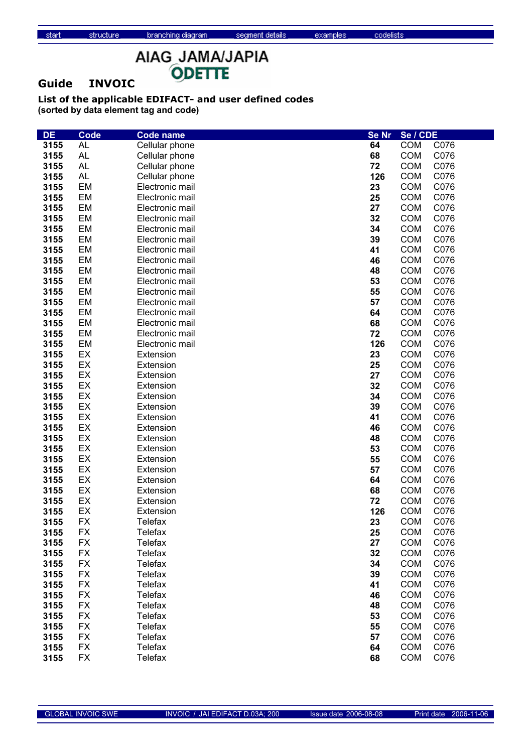### **Guide INVOIC**

structure

| <b>DE</b> | Code      | <b>Code name</b> | <b>Se Nr</b> | Se / CDE   |      |
|-----------|-----------|------------------|--------------|------------|------|
| 3155      | <b>AL</b> | Cellular phone   | 64           | <b>COM</b> | C076 |
| 3155      | <b>AL</b> | Cellular phone   | 68           | <b>COM</b> | C076 |
| 3155      | <b>AL</b> | Cellular phone   | 72           | <b>COM</b> | C076 |
| 3155      | <b>AL</b> | Cellular phone   | 126          | <b>COM</b> | C076 |
| 3155      | EM        | Electronic mail  | 23           | <b>COM</b> | C076 |
| 3155      | EM        | Electronic mail  | 25           | <b>COM</b> | C076 |
| 3155      | EM        | Electronic mail  | 27           | <b>COM</b> | C076 |
| 3155      | EM        | Electronic mail  | 32           | <b>COM</b> | C076 |
| 3155      | <b>EM</b> | Electronic mail  | 34           | <b>COM</b> | C076 |
| 3155      | EM        | Electronic mail  | 39           | <b>COM</b> | C076 |
| 3155      | EM        | Electronic mail  | 41           | <b>COM</b> | C076 |
| 3155      | EM        | Electronic mail  | 46           | <b>COM</b> | C076 |
| 3155      | EM        | Electronic mail  | 48           | <b>COM</b> | C076 |
| 3155      | EM        | Electronic mail  | 53           | <b>COM</b> | C076 |
| 3155      | EM        | Electronic mail  | 55           | <b>COM</b> | C076 |
| 3155      | EM        | Electronic mail  | 57           | <b>COM</b> | C076 |
| 3155      | EM        | Electronic mail  | 64           | <b>COM</b> | C076 |
| 3155      | EM        | Electronic mail  | 68           | <b>COM</b> | C076 |
| 3155      | EM        | Electronic mail  | 72           | <b>COM</b> | C076 |
| 3155      | <b>EM</b> | Electronic mail  | 126          | <b>COM</b> | C076 |
| 3155      | EX        | Extension        | 23           | <b>COM</b> | C076 |
| 3155      | EX        | Extension        | 25           | <b>COM</b> | C076 |
| 3155      | EX        | Extension        | 27           | <b>COM</b> | C076 |
| 3155      | EX        | Extension        | 32           | <b>COM</b> | C076 |
| 3155      | EX        | Extension        | 34           | <b>COM</b> | C076 |
| 3155      | EX        | Extension        | 39           | <b>COM</b> | C076 |
| 3155      | EX        | Extension        | 41           | <b>COM</b> | C076 |
| 3155      | EX        | Extension        | 46           | <b>COM</b> | C076 |
| 3155      | EX        | Extension        | 48           | <b>COM</b> | C076 |
| 3155      | EX        | Extension        | 53           | <b>COM</b> | C076 |
| 3155      | EX        | Extension        | 55           | <b>COM</b> | C076 |
| 3155      | EX        | Extension        | 57           | <b>COM</b> | C076 |
| 3155      | EX        | Extension        | 64           | <b>COM</b> | C076 |
| 3155      | EX        | Extension        | 68           | <b>COM</b> | C076 |
| 3155      | EX        | Extension        | 72           | <b>COM</b> | C076 |
| 3155      | EX        | Extension        | 126          | <b>COM</b> | C076 |
| 3155      | FX        | Telefax          | 23           | <b>COM</b> | C076 |
| 3155      | <b>FX</b> | <b>Telefax</b>   | 25           | <b>COM</b> | C076 |
| 3155      | <b>FX</b> | Telefax          | 27           | <b>COM</b> | C076 |
| 3155      | <b>FX</b> | Telefax          | 32           | <b>COM</b> | C076 |
| 3155      | <b>FX</b> | Telefax          | 34           | <b>COM</b> | C076 |
| 3155      | <b>FX</b> | Telefax          | 39           | <b>COM</b> | C076 |
| 3155      | <b>FX</b> | Telefax          | 41           | <b>COM</b> | C076 |
| 3155      | <b>FX</b> | <b>Telefax</b>   | 46           | <b>COM</b> | C076 |
| 3155      | <b>FX</b> | <b>Telefax</b>   | 48           | <b>COM</b> | C076 |
| 3155      | <b>FX</b> | <b>Telefax</b>   | 53           | <b>COM</b> | C076 |
| 3155      | <b>FX</b> | <b>Telefax</b>   | 55           | <b>COM</b> | C076 |
| 3155      | <b>FX</b> | <b>Telefax</b>   | 57           | <b>COM</b> | C076 |
| 3155      | <b>FX</b> | Telefax          | 64           | <b>COM</b> | C076 |
| 3155      | <b>FX</b> | <b>Telefax</b>   | 68           | <b>COM</b> | C076 |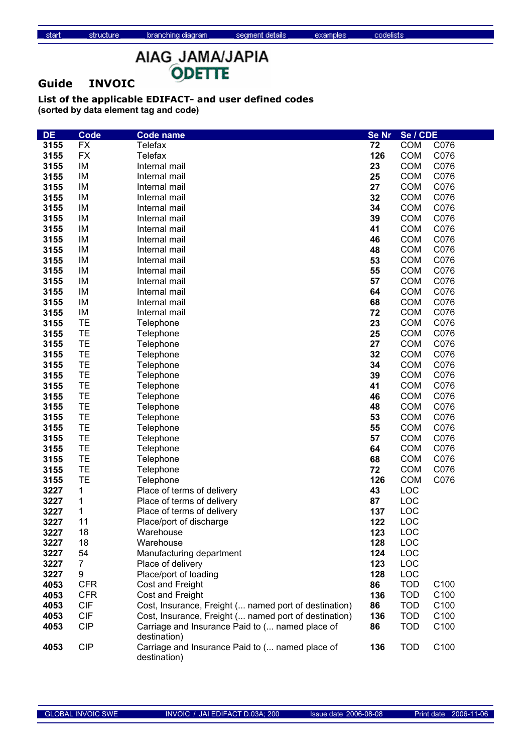### **Guide INVOIC**

structure

| <b>DE</b> | <b>Code</b>    | <b>Code name</b>                                                | <b>Se Nr</b> | Se / CDE   |                  |
|-----------|----------------|-----------------------------------------------------------------|--------------|------------|------------------|
| 3155      | <b>FX</b>      | Telefax                                                         | 72           | <b>COM</b> | C076             |
| 3155      | <b>FX</b>      | <b>Telefax</b>                                                  | 126          | <b>COM</b> | C076             |
| 3155      | IM             | Internal mail                                                   | 23           | <b>COM</b> | C076             |
| 3155      | IM             | Internal mail                                                   | 25           | <b>COM</b> | C076             |
| 3155      | IM             | Internal mail                                                   | 27           | <b>COM</b> | C076             |
| 3155      | IM             | Internal mail                                                   | 32           | <b>COM</b> | C076             |
| 3155      | IM             | Internal mail                                                   | 34           | <b>COM</b> | C076             |
| 3155      | IM             | Internal mail                                                   | 39           | <b>COM</b> | C076             |
| 3155      | IM             | Internal mail                                                   | 41           | <b>COM</b> | C076             |
| 3155      | IM             | Internal mail                                                   | 46           | <b>COM</b> | C076             |
| 3155      | IM             | Internal mail                                                   | 48           | <b>COM</b> | C076             |
| 3155      | IM             | Internal mail                                                   | 53           | <b>COM</b> | C076             |
| 3155      | IM             | Internal mail                                                   | 55           | <b>COM</b> | C076             |
| 3155      | IM             | Internal mail                                                   | 57           | <b>COM</b> | C076             |
| 3155      | IM             | Internal mail                                                   | 64           | <b>COM</b> | C076             |
| 3155      | IM             | Internal mail                                                   | 68           | <b>COM</b> | C076             |
| 3155      | IM             | Internal mail                                                   | 72           | <b>COM</b> | C076             |
| 3155      | TE             | Telephone                                                       | 23           | <b>COM</b> | C076             |
| 3155      | <b>TE</b>      | Telephone                                                       | 25           | <b>COM</b> | C076             |
| 3155      | TE             | Telephone                                                       | 27           | <b>COM</b> | C076             |
| 3155      | <b>TE</b>      | Telephone                                                       | 32           | <b>COM</b> | C076             |
| 3155      | TE             | Telephone                                                       | 34           | <b>COM</b> | C076             |
| 3155      | TE             | Telephone                                                       | 39           | <b>COM</b> | C076             |
| 3155      | TE             | Telephone                                                       | 41           | <b>COM</b> | C076             |
| 3155      | TE             | Telephone                                                       | 46           | <b>COM</b> | C076             |
| 3155      | TE             | Telephone                                                       | 48           | <b>COM</b> | C076             |
| 3155      | TE             | Telephone                                                       | 53           | <b>COM</b> | C076             |
| 3155      | TE             | Telephone                                                       | 55           | <b>COM</b> | C076             |
| 3155      | TE             | Telephone                                                       | 57           | <b>COM</b> | C076             |
| 3155      | TE             | Telephone                                                       | 64           | <b>COM</b> | C076             |
| 3155      | <b>TE</b>      | Telephone                                                       | 68           | <b>COM</b> | C076             |
| 3155      | TE             | Telephone                                                       | 72           | <b>COM</b> | C076             |
| 3155      | TE             | Telephone                                                       | 126          | <b>COM</b> | C076             |
| 3227      | 1              | Place of terms of delivery                                      | 43           | LOC        |                  |
| 3227      | 1              | Place of terms of delivery                                      | 87           | <b>LOC</b> |                  |
| 3227      | 1              | Place of terms of delivery                                      | 137          | LOC        |                  |
| 3227      | 11             | Place/port of discharge                                         | 122          | LOC        |                  |
| 3227      | 18             | Warehouse                                                       | 123          | LOC        |                  |
| 3227      | 18             | Warehouse                                                       | 128          | LOC        |                  |
| 3227      | 54             | Manufacturing department                                        | 124          | <b>LOC</b> |                  |
| 3227      | $\overline{7}$ | Place of delivery                                               | 123          | LOC        |                  |
| 3227      | 9              | Place/port of loading                                           | 128          | LOC        |                  |
| 4053      | <b>CFR</b>     | Cost and Freight                                                | 86           | <b>TOD</b> | C <sub>100</sub> |
| 4053      | <b>CFR</b>     | Cost and Freight                                                | 136          | <b>TOD</b> | C100             |
| 4053      | <b>CIF</b>     | Cost, Insurance, Freight ( named port of destination)           | 86           | <b>TOD</b> | C <sub>100</sub> |
| 4053      | <b>CIF</b>     | Cost, Insurance, Freight ( named port of destination)           | 136          | <b>TOD</b> | C100             |
| 4053      | <b>CIP</b>     | Carriage and Insurance Paid to ( named place of<br>destination) | 86           | <b>TOD</b> | C100             |
| 4053      | <b>CIP</b>     | Carriage and Insurance Paid to ( named place of<br>destination) | 136          | <b>TOD</b> | C100             |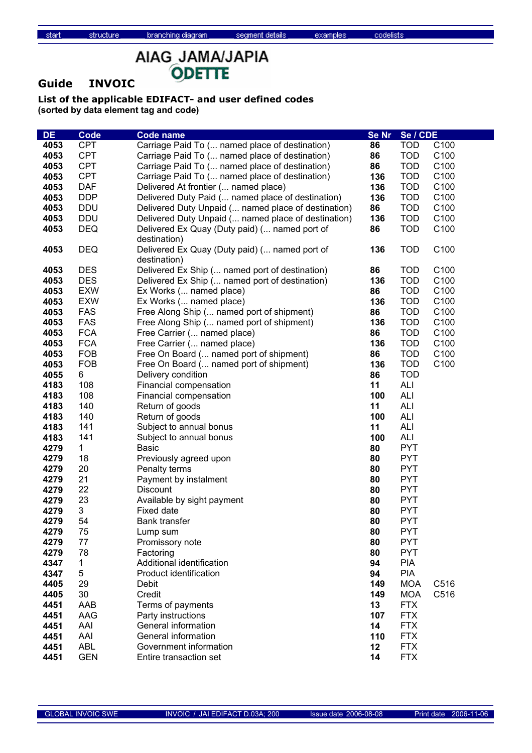# AIAG\_JAMA/JAPIA ODETTE

### **Guide INVOIC**

structure

| <b>DE</b> | <b>Code</b> | Code name                                           | Se Nr | Se / CDE   |                  |
|-----------|-------------|-----------------------------------------------------|-------|------------|------------------|
| 4053      | <b>CPT</b>  | Carriage Paid To ( named place of destination)      | 86    | <b>TOD</b> | C100             |
| 4053      | <b>CPT</b>  | Carriage Paid To ( named place of destination)      | 86    | <b>TOD</b> | C100             |
| 4053      | <b>CPT</b>  | Carriage Paid To ( named place of destination)      | 86    | <b>TOD</b> | C100             |
| 4053      | <b>CPT</b>  | Carriage Paid To ( named place of destination)      | 136   | <b>TOD</b> | C100             |
| 4053      | <b>DAF</b>  | Delivered At frontier ( named place)                | 136   | <b>TOD</b> | C100             |
| 4053      | <b>DDP</b>  | Delivered Duty Paid ( named place of destination)   | 136   | <b>TOD</b> | C100             |
| 4053      | <b>DDU</b>  | Delivered Duty Unpaid ( named place of destination) | 86    | <b>TOD</b> | C100             |
| 4053      | <b>DDU</b>  | Delivered Duty Unpaid ( named place of destination) | 136   | <b>TOD</b> | C100             |
| 4053      | <b>DEQ</b>  | Delivered Ex Quay (Duty paid) ( named port of       | 86    | <b>TOD</b> | C100             |
|           |             | destination)                                        |       |            |                  |
| 4053      | <b>DEQ</b>  | Delivered Ex Quay (Duty paid) ( named port of       | 136   | <b>TOD</b> | C100             |
|           |             | destination)                                        |       |            |                  |
| 4053      | <b>DES</b>  | Delivered Ex Ship ( named port of destination)      | 86    | <b>TOD</b> | C100             |
| 4053      | <b>DES</b>  | Delivered Ex Ship ( named port of destination)      | 136   | <b>TOD</b> | C100             |
| 4053      | <b>EXW</b>  | Ex Works ( named place)                             | 86    | <b>TOD</b> | C100             |
| 4053      | <b>EXW</b>  | Ex Works ( named place)                             | 136   | <b>TOD</b> | C100             |
| 4053      | <b>FAS</b>  | Free Along Ship ( named port of shipment)           | 86    | <b>TOD</b> | C <sub>100</sub> |
| 4053      | <b>FAS</b>  | Free Along Ship ( named port of shipment)           | 136   | <b>TOD</b> | C100             |
| 4053      | <b>FCA</b>  | Free Carrier ( named place)                         | 86    | <b>TOD</b> | C100             |
| 4053      | <b>FCA</b>  | Free Carrier ( named place)                         | 136   | <b>TOD</b> | C100             |
| 4053      | <b>FOB</b>  | Free On Board ( named port of shipment)             | 86    | <b>TOD</b> | C100             |
| 4053      | <b>FOB</b>  | Free On Board ( named port of shipment)             | 136   | <b>TOD</b> | C100             |
| 4055      | 6           | Delivery condition                                  | 86    | <b>TOD</b> |                  |
| 4183      | 108         | Financial compensation                              | 11    | ALI        |                  |
| 4183      | 108         | Financial compensation                              | 100   | <b>ALI</b> |                  |
| 4183      | 140         | Return of goods                                     | 11    | <b>ALI</b> |                  |
| 4183      | 140         | Return of goods                                     | 100   | <b>ALI</b> |                  |
| 4183      | 141         | Subject to annual bonus                             | 11    | ALI        |                  |
| 4183      | 141         | Subject to annual bonus                             | 100   | ALI        |                  |
| 4279      | $\mathbf 1$ | <b>Basic</b>                                        | 80    | <b>PYT</b> |                  |
| 4279      | 18          | Previously agreed upon                              | 80    | <b>PYT</b> |                  |
| 4279      | 20          | Penalty terms                                       | 80    | <b>PYT</b> |                  |
| 4279      | 21          | Payment by instalment                               | 80    | <b>PYT</b> |                  |
| 4279      | 22          | <b>Discount</b>                                     | 80    | <b>PYT</b> |                  |
| 4279      | 23          | Available by sight payment                          | 80    | <b>PYT</b> |                  |
| 4279      | 3           | Fixed date                                          | 80    | <b>PYT</b> |                  |
| 4279      | 54          | Bank transfer                                       | 80    | <b>PYT</b> |                  |
| 4279      | 75          | Lump sum                                            | 80    | <b>PYT</b> |                  |
| 4279      | 77          | Promissory note                                     | 80    | <b>PYT</b> |                  |
| 4279      | 78          | Factoring                                           | 80    | <b>PYT</b> |                  |
| 4347      | 1           | Additional identification                           | 94    | <b>PIA</b> |                  |
| 4347      | 5           | Product identification                              | 94    | <b>PIA</b> |                  |
| 4405      | 29          | Debit                                               | 149   | <b>MOA</b> | C516             |
| 4405      | 30          | Credit                                              | 149   | <b>MOA</b> | C516             |
| 4451      | AAB         | Terms of payments                                   | 13    | <b>FTX</b> |                  |
| 4451      | AAG         | Party instructions                                  | 107   | <b>FTX</b> |                  |
| 4451      | AAI         | General information                                 | 14    | <b>FTX</b> |                  |
| 4451      | AAI         | General information                                 | 110   | <b>FTX</b> |                  |
| 4451      | <b>ABL</b>  | Government information                              | 12    | <b>FTX</b> |                  |
| 4451      | <b>GEN</b>  | Entire transaction set                              | 14    | <b>FTX</b> |                  |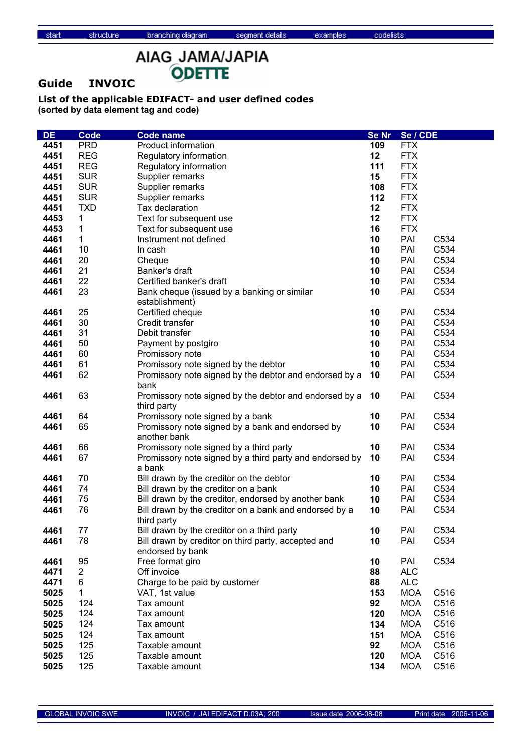# AIAG\_JAMA/JAPIA ODETTE

### **Guide INVOIC**

structure

| DE.  | <b>Code</b>    | <b>Code name</b>                                                        | Se Nr | Se / CDE   |      |
|------|----------------|-------------------------------------------------------------------------|-------|------------|------|
| 4451 | <b>PRD</b>     | Product information                                                     | 109   | <b>FTX</b> |      |
| 4451 | <b>REG</b>     | Regulatory information                                                  | 12    | <b>FTX</b> |      |
| 4451 | <b>REG</b>     | Regulatory information                                                  | 111   | <b>FTX</b> |      |
| 4451 | <b>SUR</b>     | Supplier remarks                                                        | 15    | <b>FTX</b> |      |
| 4451 | <b>SUR</b>     | Supplier remarks                                                        | 108   | <b>FTX</b> |      |
| 4451 | <b>SUR</b>     | Supplier remarks                                                        | 112   | <b>FTX</b> |      |
| 4451 | <b>TXD</b>     | Tax declaration                                                         | 12    | <b>FTX</b> |      |
| 4453 | 1              | Text for subsequent use                                                 | 12    | <b>FTX</b> |      |
| 4453 | 1              | Text for subsequent use                                                 | 16    | <b>FTX</b> |      |
| 4461 | $\mathbf{1}$   | Instrument not defined                                                  | 10    | PAI        | C534 |
| 4461 | 10             | In cash                                                                 | 10    | PAI        | C534 |
| 4461 | 20             | Cheque                                                                  | 10    | PAI        | C534 |
| 4461 | 21             | Banker's draft                                                          | 10    | PAI        | C534 |
| 4461 | 22             | Certified banker's draft                                                | 10    | PAI        | C534 |
| 4461 | 23             | Bank cheque (issued by a banking or similar                             | 10    | PAI        | C534 |
|      |                | establishment)                                                          |       |            |      |
| 4461 | 25             | Certified cheque                                                        | 10    | PAI        | C534 |
| 4461 | 30             | Credit transfer                                                         | 10    | PAI        | C534 |
| 4461 | 31             | Debit transfer                                                          | 10    | PAI        | C534 |
| 4461 | 50             | Payment by postgiro                                                     | 10    | PAI        | C534 |
| 4461 | 60             | Promissory note                                                         | 10    | PAI        | C534 |
| 4461 | 61             | Promissory note signed by the debtor                                    | 10    | PAI        | C534 |
| 4461 | 62             | Promissory note signed by the debtor and endorsed by a<br>bank          | 10    | PAI        | C534 |
| 4461 | 63             | Promissory note signed by the debtor and endorsed by a<br>third party   | 10    | PAI        | C534 |
| 4461 | 64             | Promissory note signed by a bank                                        | 10    | PAI        | C534 |
| 4461 | 65             | Promissory note signed by a bank and endorsed by<br>another bank        | 10    | PAI        | C534 |
| 4461 | 66             | Promissory note signed by a third party                                 | 10    | PAI        | C534 |
| 4461 | 67             | Promissory note signed by a third party and endorsed by<br>a bank       | 10    | PAI        | C534 |
| 4461 | 70             | Bill drawn by the creditor on the debtor                                | 10    | PAI        | C534 |
| 4461 | 74             | Bill drawn by the creditor on a bank                                    | 10    | PAI        | C534 |
| 4461 | 75             | Bill drawn by the creditor, endorsed by another bank                    | 10    | PAI        | C534 |
| 4461 | 76             | Bill drawn by the creditor on a bank and endorsed by a<br>third party   | 10    | PAI        | C534 |
| 4461 | 77             | Bill drawn by the creditor on a third party                             | 10    | PAI        | C534 |
| 4461 | 78             | Bill drawn by creditor on third party, accepted and<br>endorsed by bank | 10    | PAI        | C534 |
| 4461 | 95             | Free format giro                                                        | 10    | PAI        | C534 |
| 4471 | $\overline{2}$ | Off invoice                                                             | 88    | <b>ALC</b> |      |
| 4471 | 6              | Charge to be paid by customer                                           | 88    | <b>ALC</b> |      |
| 5025 | 1              | VAT, 1st value                                                          | 153   | <b>MOA</b> | C516 |
| 5025 | 124            | Tax amount                                                              | 92    | <b>MOA</b> | C516 |
| 5025 | 124            | Tax amount                                                              | 120   | <b>MOA</b> | C516 |
| 5025 | 124            | Tax amount                                                              | 134   | <b>MOA</b> | C516 |
| 5025 | 124            | Tax amount                                                              | 151   | <b>MOA</b> | C516 |
| 5025 | 125            | Taxable amount                                                          | 92    | <b>MOA</b> | C516 |
| 5025 | 125            | Taxable amount                                                          | 120   | <b>MOA</b> | C516 |
| 5025 | 125            | Taxable amount                                                          | 134   | <b>MOA</b> | C516 |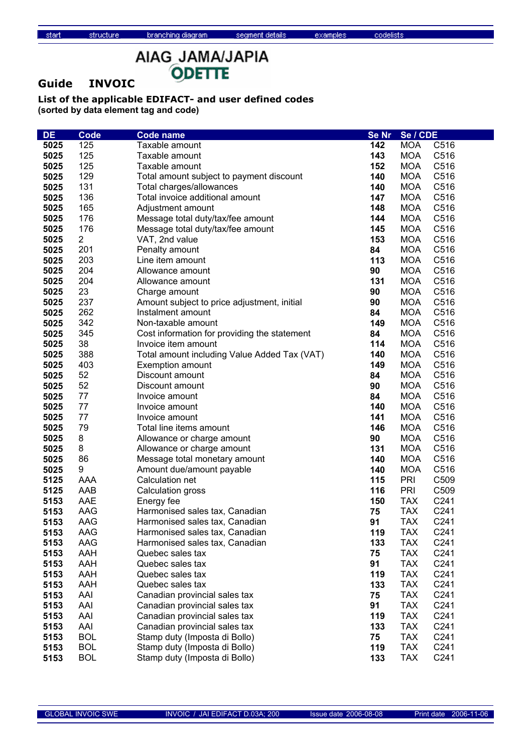### **Guide INVOIC**

structure

| <b>DE</b>    | <b>Code</b>       | Code name                                                      | Se Nr     | Se / CDE                 |              |
|--------------|-------------------|----------------------------------------------------------------|-----------|--------------------------|--------------|
| 5025         | 125               | Taxable amount                                                 | 142       | MOA                      | C516         |
| 5025         | 125               | Taxable amount                                                 | 143       | <b>MOA</b>               | C516         |
| 5025         | 125               | Taxable amount                                                 | 152       | <b>MOA</b>               | C516         |
| 5025         | 129               | Total amount subject to payment discount                       | 140       | <b>MOA</b>               | C516         |
| 5025         | 131               | Total charges/allowances                                       | 140       | <b>MOA</b>               | C516         |
| 5025         | 136               | Total invoice additional amount                                | 147       | <b>MOA</b>               | C516         |
| 5025         | 165               | Adjustment amount                                              | 148       | <b>MOA</b>               | C516         |
| 5025         | 176               | Message total duty/tax/fee amount                              | 144       | <b>MOA</b>               | C516         |
| 5025         | 176               | Message total duty/tax/fee amount                              | 145       | <b>MOA</b>               | C516         |
| 5025         | $\overline{2}$    | VAT, 2nd value                                                 | 153       | <b>MOA</b>               | C516         |
| 5025         | 201               | Penalty amount                                                 | 84        | <b>MOA</b>               | C516         |
| 5025         | 203               | Line item amount                                               | 113       | <b>MOA</b>               | C516         |
| 5025         | 204               | Allowance amount                                               | 90        | <b>MOA</b>               | C516         |
| 5025         | 204               | Allowance amount                                               | 131       | <b>MOA</b>               | C516         |
| 5025         | 23                | Charge amount                                                  | 90        | <b>MOA</b>               | C516         |
| 5025         | 237               | Amount subject to price adjustment, initial                    | 90        | <b>MOA</b>               | C516         |
| 5025         | 262               | Instalment amount                                              | 84        | <b>MOA</b>               | C516         |
| 5025         | 342               | Non-taxable amount                                             | 149       | <b>MOA</b>               | C516         |
| 5025         | 345               | Cost information for providing the statement                   | 84        | <b>MOA</b>               | C516         |
| 5025         | 38                | Invoice item amount                                            | 114       | <b>MOA</b>               | C516         |
| 5025         | 388               | Total amount including Value Added Tax (VAT)                   | 140       | <b>MOA</b>               | C516         |
| 5025         | 403               | <b>Exemption amount</b>                                        | 149       | <b>MOA</b>               | C516         |
| 5025         | 52                | Discount amount                                                | 84        | <b>MOA</b>               | C516         |
| 5025         | 52                | Discount amount                                                | 90        | <b>MOA</b>               | C516         |
| 5025         | 77                | Invoice amount                                                 | 84        | <b>MOA</b>               | C516         |
| 5025         | 77                | Invoice amount                                                 | 140       | <b>MOA</b>               | C516         |
| 5025         | 77                | Invoice amount                                                 | 141       | <b>MOA</b>               | C516         |
| 5025         | 79                | Total line items amount                                        | 146       | <b>MOA</b>               | C516         |
| 5025         | 8                 | Allowance or charge amount                                     | 90        | <b>MOA</b>               | C516         |
| 5025         | 8                 | Allowance or charge amount                                     | 131       | <b>MOA</b>               | C516         |
| 5025         | 86                | Message total monetary amount                                  | 140       | <b>MOA</b>               | C516         |
| 5025         | 9                 | Amount due/amount payable                                      | 140       | <b>MOA</b>               | C516         |
| 5125         | AAA               | Calculation net                                                | 115       | <b>PRI</b>               | C509         |
| 5125         | AAB               | Calculation gross                                              | 116       | <b>PRI</b>               | C509         |
| 5153         | AAE               | Energy fee                                                     | 150       | <b>TAX</b>               | C241         |
| 5153         | AAG               | Harmonised sales tax, Canadian                                 | 75        | <b>TAX</b>               | C241         |
| 5153         | AAG               | Harmonised sales tax, Canadian                                 | 91        | <b>TAX</b>               | C241         |
| 5153         | AAG               | Harmonised sales tax, Canadian                                 | 119       | <b>TAX</b>               | C241         |
| 5153         | AAG               | Harmonised sales tax, Canadian                                 | 133       | <b>TAX</b>               | C241         |
| 5153         | AAH               | Quebec sales tax                                               | 75        | <b>TAX</b>               | C241         |
| 5153         | AAH               | Quebec sales tax                                               | 91        | <b>TAX</b>               | C241         |
| 5153         | AAH               | Quebec sales tax                                               | 119       | <b>TAX</b>               | C241         |
| 5153         | AAH               | Quebec sales tax                                               | 133       | <b>TAX</b>               | C241         |
| 5153         | AAI               | Canadian provincial sales tax                                  | 75        | <b>TAX</b>               | C241         |
| 5153         | AAI               | Canadian provincial sales tax                                  | 91        | <b>TAX</b>               | C241         |
| 5153         | AAI               | Canadian provincial sales tax                                  | 119       | <b>TAX</b><br><b>TAX</b> | C241<br>C241 |
| 5153         | AAI<br><b>BOL</b> | Canadian provincial sales tax<br>Stamp duty (Imposta di Bollo) | 133<br>75 | <b>TAX</b>               | C241         |
| 5153<br>5153 | <b>BOL</b>        | Stamp duty (Imposta di Bollo)                                  | 119       | <b>TAX</b>               | C241         |
| 5153         | <b>BOL</b>        | Stamp duty (Imposta di Bollo)                                  | 133       | <b>TAX</b>               | C241         |
|              |                   |                                                                |           |                          |              |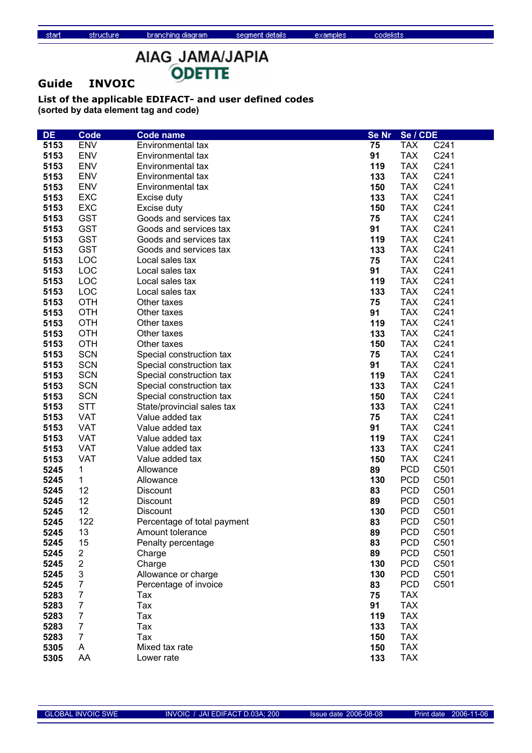### **Guide INVOIC**

structure

| <b>DE</b>    | <b>Code</b>         | <b>Code name</b>             | <b>Se Nr</b> | Se / CDE                 |      |
|--------------|---------------------|------------------------------|--------------|--------------------------|------|
| 5153         | <b>ENV</b>          | Environmental tax            | 75           | <b>TAX</b>               | C241 |
| 5153         | <b>ENV</b>          | Environmental tax            | 91           | <b>TAX</b>               | C241 |
| 5153         | <b>ENV</b>          | Environmental tax            | 119          | <b>TAX</b>               | C241 |
| 5153         | <b>ENV</b>          | Environmental tax            | 133          | <b>TAX</b>               | C241 |
| 5153         | <b>ENV</b>          | Environmental tax            | 150          | <b>TAX</b>               | C241 |
| 5153         | <b>EXC</b>          | Excise duty                  | 133          | <b>TAX</b>               | C241 |
| 5153         | <b>EXC</b>          | Excise duty                  | 150          | <b>TAX</b>               | C241 |
| 5153         | <b>GST</b>          | Goods and services tax       | 75           | <b>TAX</b>               | C241 |
| 5153         | <b>GST</b>          | Goods and services tax       | 91           | <b>TAX</b>               | C241 |
| 5153         | <b>GST</b>          | Goods and services tax       | 119          | <b>TAX</b>               | C241 |
| 5153         | <b>GST</b>          | Goods and services tax       | 133          | <b>TAX</b>               | C241 |
| 5153         | LOC                 | Local sales tax              | 75           | <b>TAX</b>               | C241 |
| 5153         | LOC                 | Local sales tax              | 91           | <b>TAX</b>               | C241 |
| 5153         | LOC                 | Local sales tax              | 119          | <b>TAX</b>               | C241 |
| 5153         | LOC                 | Local sales tax              | 133          | <b>TAX</b>               | C241 |
| 5153         | <b>OTH</b>          | Other taxes                  | 75           | <b>TAX</b>               | C241 |
| 5153         | <b>OTH</b>          | Other taxes                  | 91           | <b>TAX</b>               | C241 |
| 5153         | <b>OTH</b>          | Other taxes                  | 119          | <b>TAX</b>               | C241 |
| 5153         | <b>OTH</b>          | Other taxes                  | 133          | <b>TAX</b>               | C241 |
| 5153         | <b>OTH</b>          | Other taxes                  | 150          | <b>TAX</b>               | C241 |
| 5153         | <b>SCN</b>          | Special construction tax     | 75           | <b>TAX</b>               | C241 |
| 5153         | <b>SCN</b>          | Special construction tax     | 91           | <b>TAX</b>               | C241 |
| 5153         | <b>SCN</b>          | Special construction tax     | 119          | <b>TAX</b>               | C241 |
| 5153         | <b>SCN</b>          | Special construction tax     | 133          | <b>TAX</b>               | C241 |
| 5153         | <b>SCN</b>          | Special construction tax     | 150          | <b>TAX</b>               | C241 |
| 5153         | <b>STT</b>          | State/provincial sales tax   | 133          | <b>TAX</b>               | C241 |
| 5153         | VAT                 | Value added tax              | 75           | <b>TAX</b>               | C241 |
| 5153         | <b>VAT</b>          | Value added tax              | 91           | <b>TAX</b>               | C241 |
| 5153         | <b>VAT</b>          | Value added tax              | 119          | <b>TAX</b>               | C241 |
| 5153         | <b>VAT</b>          | Value added tax              | 133          | <b>TAX</b>               | C241 |
| 5153         | <b>VAT</b>          | Value added tax              | 150          | <b>TAX</b>               | C241 |
| 5245         | 1                   | Allowance                    | 89           | <b>PCD</b>               | C501 |
| 5245         | $\mathbf{1}$        | Allowance                    | 130          | <b>PCD</b>               | C501 |
| 5245         | 12                  | Discount                     | 83           | <b>PCD</b>               | C501 |
| 5245         | 12                  | Discount                     | 89           | <b>PCD</b>               | C501 |
| 5245         | 12                  | Discount                     | 130          | <b>PCD</b>               | C501 |
| 5245         | 122                 | Percentage of total payment  | 83           | <b>PCD</b>               | C501 |
| 5245         | 13                  | Amount tolerance             | 89           | PCD                      | C501 |
| 5245         | 15                  | Penalty percentage           | 83           | <b>PCD</b>               | C501 |
| 5245         | $\overline{2}$      | Charge                       | 89           | <b>PCD</b>               | C501 |
| 5245         | $\overline{2}$      | Charge                       | 130          | <b>PCD</b>               | C501 |
| 5245         | 3                   | Allowance or charge          | 130          | <b>PCD</b>               | C501 |
| 5245<br>5283 | 7<br>$\overline{7}$ | Percentage of invoice<br>Tax | 83<br>75     | <b>PCD</b><br><b>TAX</b> | C501 |
| 5283         | $\overline{7}$      | Tax                          | 91           | <b>TAX</b>               |      |
| 5283         | $\overline{7}$      | Tax                          | 119          | <b>TAX</b>               |      |
| 5283         | $\overline{7}$      | Tax                          | 133          | <b>TAX</b>               |      |
| 5283         | $\overline{7}$      | Tax                          | 150          | <b>TAX</b>               |      |
| 5305         | A                   | Mixed tax rate               | 150          | <b>TAX</b>               |      |
| 5305         | AA                  | Lower rate                   | 133          | <b>TAX</b>               |      |
|              |                     |                              |              |                          |      |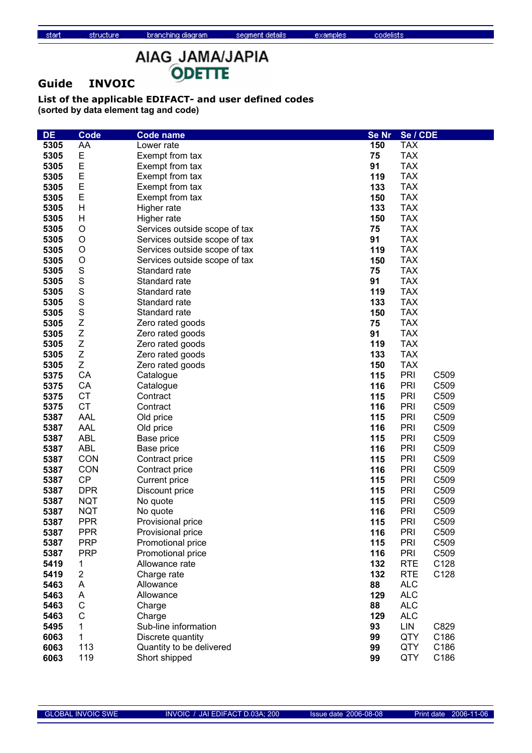### **Guide INVOIC**

structure

| <b>DE</b>    | <b>Code</b>      | Code name                      | <b>Se Nr</b> | Se / CDE                 |
|--------------|------------------|--------------------------------|--------------|--------------------------|
| 5305         | AA               | Lower rate                     | 150          | <b>TAX</b>               |
| 5305         | Е                | Exempt from tax                | 75           | <b>TAX</b>               |
| 5305         | E                | Exempt from tax                | 91           | <b>TAX</b>               |
| 5305         | E                | Exempt from tax                | 119          | <b>TAX</b>               |
| 5305         | E                | Exempt from tax                | 133          | <b>TAX</b>               |
| 5305         | E                | Exempt from tax                | 150          | <b>TAX</b>               |
| 5305         | Η                | Higher rate                    | 133          | <b>TAX</b>               |
| 5305         | Η                | Higher rate                    | 150          | <b>TAX</b>               |
| 5305         | $\circ$          | Services outside scope of tax  | 75           | <b>TAX</b>               |
| 5305         | O                | Services outside scope of tax  | 91           | <b>TAX</b>               |
| 5305         | O                | Services outside scope of tax  | 119          | <b>TAX</b>               |
| 5305         | O                | Services outside scope of tax  | 150          | <b>TAX</b>               |
| 5305         | S                | Standard rate                  | 75           | <b>TAX</b>               |
| 5305         | S                | Standard rate                  | 91           | <b>TAX</b>               |
| 5305         | $\mathbf S$      | Standard rate                  | 119          | <b>TAX</b>               |
| 5305         | $\mathbf S$      | Standard rate                  | 133          | <b>TAX</b>               |
| 5305         | $\mathbf S$      | Standard rate                  | 150          | <b>TAX</b>               |
| 5305         | Z                | Zero rated goods               | 75           | <b>TAX</b>               |
| 5305         | Z                | Zero rated goods               | 91           | <b>TAX</b>               |
| 5305         | Z                | Zero rated goods               | 119          | <b>TAX</b>               |
| 5305         | Z                | Zero rated goods               | 133          | <b>TAX</b>               |
| 5305         | Z                | Zero rated goods               | 150          | <b>TAX</b>               |
| 5375         | CA               | Catalogue                      | 115          | PRI<br>C509              |
| 5375         | CA               | Catalogue                      | 116          | PRI<br>C509              |
| 5375         | <b>CT</b>        | Contract                       | 115          | PRI<br>C509              |
| 5375         | <b>CT</b>        | Contract                       | 116          | PRI<br>C509              |
| 5387         | AAL              | Old price                      | 115          | PRI<br>C509              |
| 5387         | <b>AAL</b>       | Old price                      | 116          | PRI<br>C509              |
| 5387         | <b>ABL</b>       | Base price                     | 115          | <b>PRI</b><br>C509       |
| 5387         | <b>ABL</b>       | Base price                     | 116          | PRI<br>C509              |
| 5387         | CON              | Contract price                 | 115          | PRI<br>C509              |
| 5387         | <b>CON</b>       | Contract price                 | 116          | PRI<br>C509              |
| 5387         | <b>CP</b>        | Current price                  | 115          | PRI<br>C509              |
| 5387         | <b>DPR</b>       | Discount price                 | 115          | <b>PRI</b><br>C509       |
| 5387         | <b>NQT</b>       | No quote                       | 115          | PRI<br>C509              |
| 5387         | <b>NQT</b>       | No quote                       | 116          | PRI<br>C509              |
| 5387         | <b>PPR</b>       | Provisional price              | 115          | PRI<br>C509              |
| 5387         | <b>PPR</b>       | Provisional price              | 116          | PRI<br>C509              |
| 5387         | <b>PRP</b>       | Promotional price              | 115          | PRI<br>C509              |
| 5387         | <b>PRP</b>       | Promotional price              | 116          | PRI<br>C509              |
| 5419         | 1                | Allowance rate                 | 132          | <b>RTE</b><br>C128       |
| 5419         | 2                | Charge rate                    | 132          | <b>RTE</b><br>C128       |
| 5463         | Α                | Allowance<br>Allowance         | 88           | <b>ALC</b><br><b>ALC</b> |
| 5463<br>5463 | Α<br>$\mathsf C$ |                                | 129<br>88    | <b>ALC</b>               |
| 5463         | C                | Charge                         | 129          | <b>ALC</b>               |
| 5495         | 1                | Charge<br>Sub-line information | 93           | <b>LIN</b><br>C829       |
| 6063         | 1                | Discrete quantity              | 99           | <b>QTY</b><br>C186       |
| 6063         | 113              | Quantity to be delivered       | 99           | <b>QTY</b><br>C186       |
| 6063         | 119              | Short shipped                  | 99           | QTY<br>C186              |
|              |                  |                                |              |                          |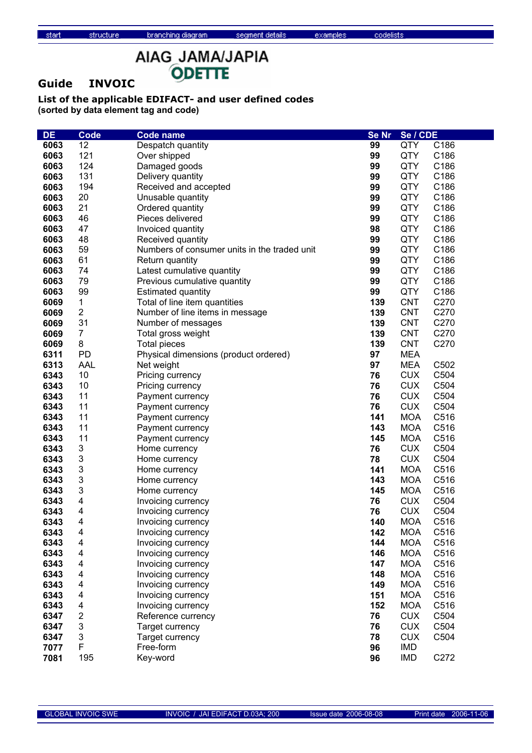# AIAG\_JAMA/JAPIA ODETTE

### **Guide INVOIC**

structure

| DE   | <b>Code</b>             | <b>Code name</b>                             | Se Nr | Se / CDE   |      |
|------|-------------------------|----------------------------------------------|-------|------------|------|
| 6063 | 12                      | Despatch quantity                            | 99    | QTY        | C186 |
| 6063 | 121                     | Over shipped                                 | 99    | QTY        | C186 |
| 6063 | 124                     | Damaged goods                                | 99    | QTY        | C186 |
| 6063 | 131                     | Delivery quantity                            | 99    | QTY        | C186 |
| 6063 | 194                     | Received and accepted                        | 99    | QTY        | C186 |
| 6063 | 20                      | Unusable quantity                            | 99    | QTY        | C186 |
| 6063 | 21                      | Ordered quantity                             | 99    | QTY        | C186 |
| 6063 | 46                      | Pieces delivered                             | 99    | QTY        | C186 |
| 6063 | 47                      | Invoiced quantity                            | 98    | QTY        | C186 |
| 6063 | 48                      | Received quantity                            | 99    | QTY        | C186 |
| 6063 | 59                      | Numbers of consumer units in the traded unit | 99    | QTY        | C186 |
| 6063 | 61                      | Return quantity                              | 99    | <b>QTY</b> | C186 |
| 6063 | 74                      | Latest cumulative quantity                   | 99    | <b>QTY</b> | C186 |
| 6063 | 79                      | Previous cumulative quantity                 | 99    | QTY        | C186 |
| 6063 | 99                      | <b>Estimated quantity</b>                    | 99    | QTY        | C186 |
| 6069 | 1                       | Total of line item quantities                | 139   | <b>CNT</b> | C270 |
| 6069 | $\overline{\mathbf{c}}$ | Number of line items in message              | 139   | <b>CNT</b> | C270 |
| 6069 | 31                      | Number of messages                           | 139   | <b>CNT</b> | C270 |
| 6069 | $\overline{7}$          | Total gross weight                           | 139   | <b>CNT</b> | C270 |
| 6069 | 8                       | <b>Total pieces</b>                          | 139   | <b>CNT</b> | C270 |
| 6311 | <b>PD</b>               | Physical dimensions (product ordered)        | 97    | <b>MEA</b> |      |
| 6313 | <b>AAL</b>              | Net weight                                   | 97    | <b>MEA</b> | C502 |
| 6343 | 10                      | Pricing currency                             | 76    | <b>CUX</b> | C504 |
| 6343 | 10                      | Pricing currency                             | 76    | <b>CUX</b> | C504 |
| 6343 | 11                      | Payment currency                             | 76    | <b>CUX</b> | C504 |
| 6343 | 11                      | Payment currency                             | 76    | <b>CUX</b> | C504 |
| 6343 | 11                      | Payment currency                             | 141   | <b>MOA</b> | C516 |
| 6343 | 11                      | Payment currency                             | 143   | <b>MOA</b> | C516 |
| 6343 | 11                      | Payment currency                             | 145   | <b>MOA</b> | C516 |
| 6343 | 3                       | Home currency                                | 76    | <b>CUX</b> | C504 |
| 6343 | 3                       | Home currency                                | 78    | <b>CUX</b> | C504 |
| 6343 | 3                       | Home currency                                | 141   | <b>MOA</b> | C516 |
| 6343 | 3                       | Home currency                                | 143   | <b>MOA</b> | C516 |
| 6343 | 3                       | Home currency                                | 145   | <b>MOA</b> | C516 |
| 6343 | 4                       | Invoicing currency                           | 76    | <b>CUX</b> | C504 |
| 6343 | 4                       | Invoicing currency                           | 76    | <b>CUX</b> | C504 |
| 6343 | 4                       | Invoicing currency                           | 140   | <b>MOA</b> | C516 |
| 6343 | 4                       | Invoicing currency                           | 142   | <b>MOA</b> | C516 |
| 6343 | 4                       | Invoicing currency                           | 144   | <b>MOA</b> | C516 |
| 6343 | 4                       | Invoicing currency                           | 146   | <b>MOA</b> | C516 |
| 6343 | 4                       | Invoicing currency                           | 147   | <b>MOA</b> | C516 |
| 6343 | 4                       | Invoicing currency                           | 148   | <b>MOA</b> | C516 |
| 6343 | 4                       | Invoicing currency                           | 149   | <b>MOA</b> | C516 |
| 6343 | 4                       | Invoicing currency                           | 151   | <b>MOA</b> | C516 |
| 6343 | 4                       | Invoicing currency                           | 152   | <b>MOA</b> | C516 |
| 6347 | 2                       | Reference currency                           | 76    | <b>CUX</b> | C504 |
| 6347 | 3                       | Target currency                              | 76    | <b>CUX</b> | C504 |
| 6347 | 3                       | Target currency                              | 78    | <b>CUX</b> | C504 |
| 7077 | $\mathsf F$             | Free-form                                    | 96    | IMD        |      |
| 7081 | 195                     | Key-word                                     | 96    | <b>IMD</b> | C272 |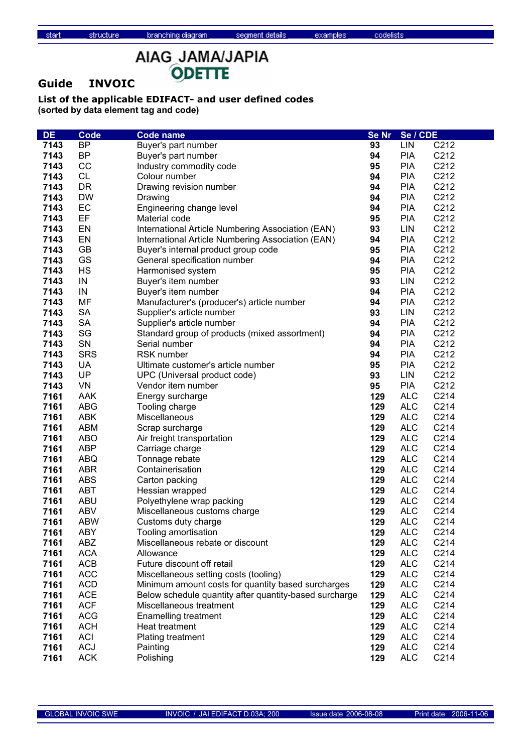# AIAG\_JAMA/JAPIA ODETTE

### **Guide INVOIC**

structure

| <b>DE</b> | <b>Code</b> | <b>Code name</b>                                       | <b>Se Nr</b> | Se / CDE   |      |
|-----------|-------------|--------------------------------------------------------|--------------|------------|------|
| 7143      | <b>BP</b>   | Buyer's part number                                    | 93           | LIN        | C212 |
| 7143      | <b>BP</b>   | Buyer's part number                                    | 94           | <b>PIA</b> | C212 |
| 7143      | cc          | Industry commodity code                                | 95           | <b>PIA</b> | C212 |
| 7143      | <b>CL</b>   | Colour number                                          | 94           | <b>PIA</b> | C212 |
| 7143      | DR          | Drawing revision number                                | 94           | <b>PIA</b> | C212 |
| 7143      | <b>DW</b>   | Drawing                                                | 94           | <b>PIA</b> | C212 |
| 7143      | EC          | Engineering change level                               | 94           | <b>PIA</b> | C212 |
| 7143      | EF          | Material code                                          | 95           | <b>PIA</b> | C212 |
| 7143      | EN          | International Article Numbering Association (EAN)      | 93           | LIN        | C212 |
| 7143      | EN          | International Article Numbering Association (EAN)      | 94           | <b>PIA</b> | C212 |
| 7143      | <b>GB</b>   | Buyer's internal product group code                    | 95           | <b>PIA</b> | C212 |
| 7143      | GS          | General specification number                           | 94           | <b>PIA</b> | C212 |
| 7143      | <b>HS</b>   | Harmonised system                                      | 95           | <b>PIA</b> | C212 |
| 7143      | IN          | Buyer's item number                                    | 93           | LIN        | C212 |
| 7143      | IN          | Buyer's item number                                    | 94           | <b>PIA</b> | C212 |
| 7143      | MF          | Manufacturer's (producer's) article number             | 94           | <b>PIA</b> | C212 |
| 7143      | <b>SA</b>   | Supplier's article number                              | 93           | LIN        | C212 |
| 7143      | <b>SA</b>   | Supplier's article number                              | 94           | <b>PIA</b> | C212 |
| 7143      | SG          | Standard group of products (mixed assortment)          | 94           | <b>PIA</b> | C212 |
| 7143      | SN          | Serial number                                          | 94           | <b>PIA</b> | C212 |
| 7143      | <b>SRS</b>  | <b>RSK number</b>                                      | 94           | <b>PIA</b> | C212 |
| 7143      | <b>UA</b>   | Ultimate customer's article number                     | 95           | <b>PIA</b> | C212 |
| 7143      | UP          | UPC (Universal product code)                           | 93           | LIN        | C212 |
| 7143      | VN          | Vendor item number                                     | 95           | <b>PIA</b> | C212 |
| 7161      | <b>AAK</b>  | Energy surcharge                                       | 129          | <b>ALC</b> | C214 |
| 7161      | <b>ABG</b>  | Tooling charge                                         | 129          | <b>ALC</b> | C214 |
| 7161      | <b>ABK</b>  | Miscellaneous                                          | 129          | <b>ALC</b> | C214 |
| 7161      | <b>ABM</b>  | Scrap surcharge                                        | 129          | <b>ALC</b> | C214 |
| 7161      | <b>ABO</b>  | Air freight transportation                             | 129          | <b>ALC</b> | C214 |
| 7161      | <b>ABP</b>  | Carriage charge                                        | 129          | <b>ALC</b> | C214 |
| 7161      | <b>ABQ</b>  | Tonnage rebate                                         | 129          | <b>ALC</b> | C214 |
| 7161      | <b>ABR</b>  | Containerisation                                       | 129          | <b>ALC</b> | C214 |
| 7161      | <b>ABS</b>  | Carton packing                                         | 129          | <b>ALC</b> | C214 |
| 7161      | <b>ABT</b>  | Hessian wrapped                                        | 129          | <b>ALC</b> | C214 |
| 7161      | <b>ABU</b>  | Polyethylene wrap packing                              | 129          | <b>ALC</b> | C214 |
| 7161      | <b>ABV</b>  | Miscellaneous customs charge                           | 129          | <b>ALC</b> | C214 |
| 7161      | <b>ABW</b>  | Customs duty charge                                    | 129          | <b>ALC</b> | C214 |
| 7161      | <b>ABY</b>  | Tooling amortisation                                   | 129          | <b>ALC</b> | C214 |
| 7161      | ABZ         | Miscellaneous rebate or discount                       | 129          | <b>ALC</b> | C214 |
| 7161      | <b>ACA</b>  | Allowance                                              | 129          | <b>ALC</b> | C214 |
| 7161      | <b>ACB</b>  | Future discount off retail                             | 129          | <b>ALC</b> | C214 |
| 7161      | <b>ACC</b>  | Miscellaneous setting costs (tooling)                  | 129          | <b>ALC</b> | C214 |
| 7161      | <b>ACD</b>  | Minimum amount costs for quantity based surcharges     | 129          | <b>ALC</b> | C214 |
| 7161      | <b>ACE</b>  | Below schedule quantity after quantity-based surcharge | 129          | <b>ALC</b> | C214 |
| 7161      | <b>ACF</b>  | Miscellaneous treatment                                | 129          | <b>ALC</b> | C214 |
| 7161      | <b>ACG</b>  | <b>Enamelling treatment</b>                            | 129          | <b>ALC</b> | C214 |
| 7161      | <b>ACH</b>  | Heat treatment                                         | 129          | <b>ALC</b> | C214 |
| 7161      | <b>ACI</b>  | Plating treatment                                      | 129          | <b>ALC</b> | C214 |
| 7161      | <b>ACJ</b>  | Painting                                               | 129          | <b>ALC</b> | C214 |
| 7161      | <b>ACK</b>  | Polishing                                              | 129          | <b>ALC</b> | C214 |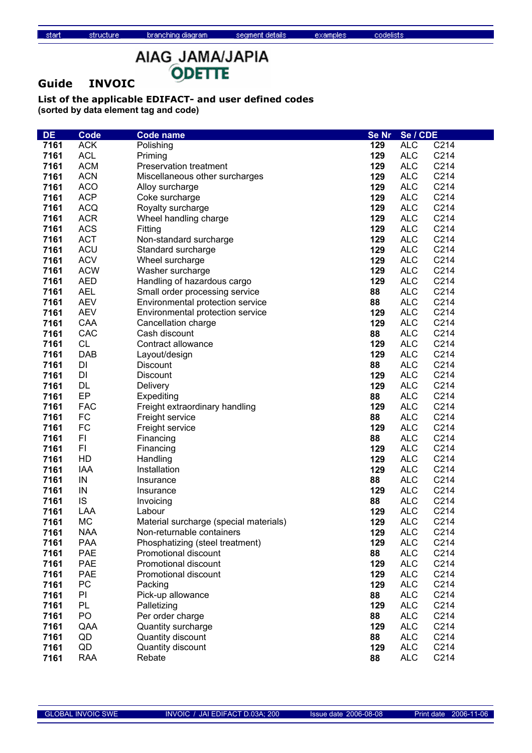# AIAG\_JAMA/JAPIA ODETTE

### **Guide INVOIC**

structure

| <b>DE</b>    | <b>Code</b> | <b>Code name</b>                                                    | <b>Se Nr</b> | Se / CDE                 |      |
|--------------|-------------|---------------------------------------------------------------------|--------------|--------------------------|------|
| 7161         | <b>ACK</b>  | Polishing                                                           | 129          | <b>ALC</b>               | C214 |
| 7161         | <b>ACL</b>  | Priming                                                             | 129          | <b>ALC</b>               | C214 |
| 7161         | <b>ACM</b>  | Preservation treatment                                              | 129          | <b>ALC</b>               | C214 |
| 7161         | <b>ACN</b>  | Miscellaneous other surcharges                                      | 129          | <b>ALC</b>               | C214 |
| 7161         | <b>ACO</b>  | Alloy surcharge                                                     | 129          | <b>ALC</b>               | C214 |
| 7161         | <b>ACP</b>  | Coke surcharge                                                      | 129          | <b>ALC</b>               | C214 |
| 7161         | <b>ACQ</b>  | Royalty surcharge                                                   | 129          | <b>ALC</b>               | C214 |
| 7161         | <b>ACR</b>  | Wheel handling charge                                               | 129          | <b>ALC</b>               | C214 |
| 7161         | <b>ACS</b>  | Fitting                                                             | 129          | <b>ALC</b>               | C214 |
| 7161         | <b>ACT</b>  | Non-standard surcharge                                              | 129          | <b>ALC</b>               | C214 |
| 7161         | ACU         | Standard surcharge                                                  | 129          | <b>ALC</b>               | C214 |
| 7161         | <b>ACV</b>  | Wheel surcharge                                                     | 129          | <b>ALC</b>               | C214 |
| 7161         | <b>ACW</b>  | Washer surcharge                                                    | 129          | <b>ALC</b>               | C214 |
| 7161         | <b>AED</b>  | Handling of hazardous cargo                                         | 129          | <b>ALC</b>               | C214 |
| 7161         | <b>AEL</b>  | Small order processing service                                      | 88           | <b>ALC</b>               | C214 |
| 7161         | <b>AEV</b>  | Environmental protection service                                    | 88           | <b>ALC</b>               | C214 |
| 7161         | <b>AEV</b>  | Environmental protection service                                    | 129          | <b>ALC</b>               | C214 |
| 7161         | CAA         | Cancellation charge                                                 | 129          | <b>ALC</b>               | C214 |
| 7161         | CAC         | Cash discount                                                       | 88           | <b>ALC</b>               | C214 |
| 7161         | <b>CL</b>   | Contract allowance                                                  | 129          | <b>ALC</b>               | C214 |
| 7161         | <b>DAB</b>  | Layout/design                                                       | 129          | <b>ALC</b>               | C214 |
| 7161         | DI          | <b>Discount</b>                                                     | 88           | <b>ALC</b>               | C214 |
| 7161         | DI          |                                                                     | 129          | <b>ALC</b>               | C214 |
| 7161         | DL          | Discount<br>Delivery                                                | 129          | <b>ALC</b>               | C214 |
| 7161         | EP          | Expediting                                                          |              | <b>ALC</b>               | C214 |
| 7161         | <b>FAC</b>  |                                                                     | 88<br>129    |                          | C214 |
| 7161         | <b>FC</b>   | Freight extraordinary handling                                      |              | <b>ALC</b>               | C214 |
|              | <b>FC</b>   | Freight service                                                     | 88<br>129    | <b>ALC</b><br><b>ALC</b> | C214 |
| 7161<br>7161 | FI          | Freight service                                                     | 88           | <b>ALC</b>               | C214 |
| 7161         | FI.         | Financing                                                           | 129          | <b>ALC</b>               | C214 |
| 7161         | HD          | Financing<br>Handling                                               | 129          | <b>ALC</b>               | C214 |
| 7161         | <b>IAA</b>  | Installation                                                        | 129          | <b>ALC</b>               | C214 |
| 7161         | IN          | Insurance                                                           | 88           | <b>ALC</b>               | C214 |
| 7161         | IN          |                                                                     | 129          | <b>ALC</b>               | C214 |
| 7161         | IS          | Insurance<br>Invoicing                                              | 88           | <b>ALC</b>               | C214 |
| 7161         | LAA         | Labour                                                              | 129          | <b>ALC</b>               | C214 |
| 7161         | <b>MC</b>   |                                                                     | 129          | <b>ALC</b>               | C214 |
|              | <b>NAA</b>  | Material surcharge (special materials)<br>Non-returnable containers |              | <b>ALC</b>               | C214 |
| 7161<br>7161 | <b>PAA</b>  |                                                                     | 129<br>129   | <b>ALC</b>               | C214 |
|              | <b>PAE</b>  | Phosphatizing (steel treatment)<br>Promotional discount             | 88           | <b>ALC</b>               | C214 |
| 7161<br>7161 | <b>PAE</b>  | Promotional discount                                                | 129          | <b>ALC</b>               | C214 |
|              | <b>PAE</b>  |                                                                     |              |                          | C214 |
| 7161         | PC          | Promotional discount                                                | 129          | <b>ALC</b>               | C214 |
| 7161         |             | Packing                                                             | 129          | <b>ALC</b>               |      |
| 7161         | PI          | Pick-up allowance                                                   | 88           | <b>ALC</b>               | C214 |
| 7161         | PL          | Palletizing                                                         | 129          | <b>ALC</b>               | C214 |
| 7161         | PO          | Per order charge                                                    | 88           | <b>ALC</b>               | C214 |
| 7161         | QAA         | Quantity surcharge                                                  | 129          | <b>ALC</b>               | C214 |
| 7161         | QD          | Quantity discount                                                   | 88           | <b>ALC</b>               | C214 |
| 7161         | QD          | Quantity discount                                                   | 129          | <b>ALC</b>               | C214 |
| 7161         | <b>RAA</b>  | Rebate                                                              | 88           | <b>ALC</b>               | C214 |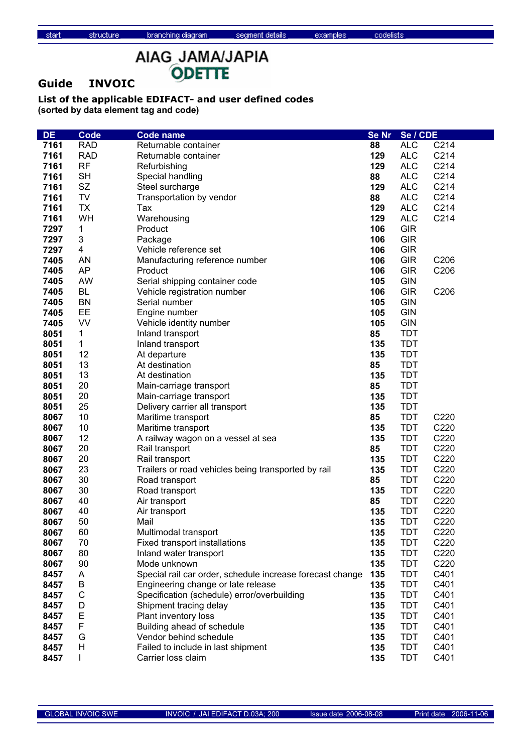AIAG\_JAMA/JAPIA ODETTE

### **Guide INVOIC**

structure

| <b>DE</b> | Code         | <b>Code name</b>                                          | <b>Se Nr</b> | Se / CDE   |      |
|-----------|--------------|-----------------------------------------------------------|--------------|------------|------|
| 7161      | <b>RAD</b>   | Returnable container                                      | 88           | <b>ALC</b> | C214 |
| 7161      | <b>RAD</b>   | Returnable container                                      | 129          | <b>ALC</b> | C214 |
| 7161      | <b>RF</b>    | Refurbishing                                              | 129          | <b>ALC</b> | C214 |
| 7161      | <b>SH</b>    | Special handling                                          | 88           | <b>ALC</b> | C214 |
| 7161      | <b>SZ</b>    | Steel surcharge                                           | 129          | <b>ALC</b> | C214 |
| 7161      | TV           | Transportation by vendor                                  | 88           | <b>ALC</b> | C214 |
| 7161      | <b>TX</b>    | Tax                                                       | 129          | <b>ALC</b> | C214 |
| 7161      | WH           | Warehousing                                               | 129          | <b>ALC</b> | C214 |
| 7297      | 1            | Product                                                   | 106          | <b>GIR</b> |      |
| 7297      | 3            | Package                                                   | 106          | <b>GIR</b> |      |
| 7297      | 4            | Vehicle reference set                                     | 106          | <b>GIR</b> |      |
| 7405      | AN           | Manufacturing reference number                            | 106          | <b>GIR</b> | C206 |
| 7405      | AP           | Product                                                   | 106          | <b>GIR</b> | C206 |
| 7405      | AW           | Serial shipping container code                            | 105          | <b>GIN</b> |      |
| 7405      | <b>BL</b>    | Vehicle registration number                               | 106          | <b>GIR</b> | C206 |
| 7405      | <b>BN</b>    | Serial number                                             | 105          | <b>GIN</b> |      |
| 7405      | EE           | Engine number                                             | 105          | <b>GIN</b> |      |
| 7405      | VV           | Vehicle identity number                                   | 105          | <b>GIN</b> |      |
| 8051      | 1            | Inland transport                                          | 85           | <b>TDT</b> |      |
| 8051      | 1            | Inland transport                                          | 135          | <b>TDT</b> |      |
| 8051      | 12           | At departure                                              | 135          | <b>TDT</b> |      |
| 8051      | 13           | At destination                                            | 85           | <b>TDT</b> |      |
| 8051      | 13           | At destination                                            | 135          | <b>TDT</b> |      |
| 8051      | 20           | Main-carriage transport                                   | 85           | <b>TDT</b> |      |
| 8051      | 20           | Main-carriage transport                                   | 135          | <b>TDT</b> |      |
| 8051      | 25           | Delivery carrier all transport                            | 135          | <b>TDT</b> |      |
| 8067      | 10           | Maritime transport                                        | 85           | <b>TDT</b> | C220 |
| 8067      | 10           | Maritime transport                                        | 135          | <b>TDT</b> | C220 |
| 8067      | 12           | A railway wagon on a vessel at sea                        | 135          | <b>TDT</b> | C220 |
| 8067      | 20           | Rail transport                                            | 85           | <b>TDT</b> | C220 |
| 8067      | 20           | Rail transport                                            | 135          | <b>TDT</b> | C220 |
| 8067      | 23           | Trailers or road vehicles being transported by rail       | 135          | <b>TDT</b> | C220 |
| 8067      | 30           | Road transport                                            | 85           | <b>TDT</b> | C220 |
| 8067      | 30           | Road transport                                            | 135          | <b>TDT</b> | C220 |
| 8067      | 40           | Air transport                                             | 85           | <b>TDT</b> | C220 |
| 8067      | 40           | Air transport                                             | 135          | <b>TDT</b> | C220 |
| 8067      | 50           | Mail                                                      | 135          | <b>TDT</b> | C220 |
| 8067      | 60           | Multimodal transport                                      | 135          | TDT        | C220 |
| 8067      | 70           | Fixed transport installations                             | 135          | <b>TDT</b> | C220 |
| 8067      | 80           | Inland water transport                                    | 135          | <b>TDT</b> | C220 |
| 8067      | 90           | Mode unknown                                              | 135          | <b>TDT</b> | C220 |
| 8457      | A            | Special rail car order, schedule increase forecast change | 135          | <b>TDT</b> | C401 |
| 8457      | В            | Engineering change or late release                        | 135          | TDT        | C401 |
| 8457      | C            | Specification (schedule) error/overbuilding               | 135          | TDT        | C401 |
| 8457      | D            | Shipment tracing delay                                    | 135          | <b>TDT</b> | C401 |
| 8457      | E            | Plant inventory loss                                      | 135          | <b>TDT</b> | C401 |
| 8457      | $\mathsf F$  | Building ahead of schedule                                | 135          | <b>TDT</b> | C401 |
| 8457      | G            | Vendor behind schedule                                    | 135          | <b>TDT</b> | C401 |
| 8457      | H            | Failed to include in last shipment                        | 135          | <b>TDT</b> | C401 |
| 8457      | $\mathbf{I}$ | Carrier loss claim                                        | 135          | <b>TDT</b> | C401 |